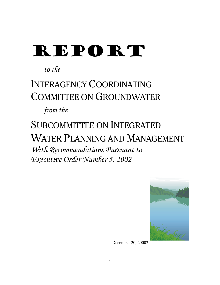# REPORT

*to the*

## INTERAGENCY COORDINATING COMMITTEE ON GROUNDWATER

*from the*

## SUBCOMMITTEE ON INTEGRATED WATER PLANNING AND MANAGEMENT

*With Recommendations Pursuant to Executive Order Number 5, 2002*



December 20, 20002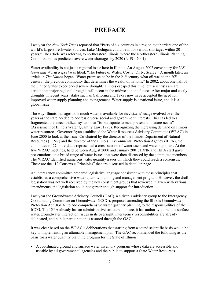## **PREFACE**

Last year the *New York Times* reported that "Parts of six counties in a region that borders one of the world's largest freshwater sources, Lake Michigan, could be in for serious shortages within 20 years." The article was referring to northeastern Illinois, where the Northeastern Illinois Planning Commission has predicted severe water shortages by 2020 (NIPC, 2001).

Water availability is not just a regional issue here in Illinois. An August 2002 cover story for *U.S. News and World Report* was titled, "The Future of Water: Costly, Dirty, Scarce." A month later, an article in *The Nation* began "Water promises to be in the 21<sup>st</sup> century what oil was to the 20<sup>th</sup> century: the precious commodity that determines the wealth of nations." In 2002, about one half of the United States experienced severe drought. Illinois escaped this time, but scientists are are certain that major regional droughts will occur in the midwest in the future. After major and costly droughts in recent years, states such as California and Texas now have accepted the need for improved water supply planning and management. Water supply is a national issue, and it is a global issue.

The way Illinois manages how much water is available for its citizens' usage evolved over the years as the state needed to address diverse social and government interests. This has led to a fragmented and decentralized system that "is inadequate to meet present and future needs" (Assessment of Illinois Water Quantity Law, 1996). Recognizing the increasing demand on Illinois' water resources, Governor Ryan established the Water Resources Advisory Committee (WRAC) in June 2000 to look at the issue. Co-chaired by the director of the Illinois Department of Natural Resources (IDNR) and the director of the Illinois Environmental Protection Agency (IEPA), the committee of 27 individuals represented a cross section of water users and water suppliers. At the five WRAC meetings, held between August 2000 and January 2001, IDNR and IEPA staff gave presentations on a broad range of water issues that were then discussed by the committee members. The WRAC identified numerous water quantity issues on which they could reach a consensus. These are the "12 Consensus Principles" that are discussed in detail on page 11.

An interagency committee prepared legislative language consistent with these principles that established a comprehensive water quantity planning and management program. However, the draft legislation was not well received by the key constituent groups that reviewed it. Even with various amendments, the legislation could not garner enough support for introduction.

Last year the Groundwater Advisory Council (GAC), a citizen's advisory group to the Interagency Coordinating Committee on Groundwater (ICCG), proposed amending the Illinois Groundwater Protection Act (IGPA) to add comprehensive water quantity planning to the responsibilities of the ICCG. The IGPA already has an administrative structure in place, it has authority to include surface water/groundwater interaction issues in its oversight, interagency responsibilities are already delineated, and public participation is assured through the GAC.

It was clear based on the WRAC's deliberations that starting from a sound scientific basis would be key to implementing an attainable management plan. The GAC recommended the following as the basis for a water quantity planning program for the State of Illinois:

• A coordinated ground and surface water inventory program whose data are accessible and useable by all governmental agencies and the public to support a State Water Resources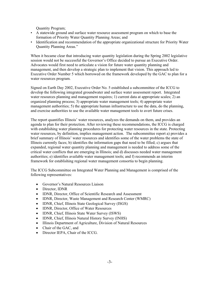Quantity Program;

- A statewide ground and surface water resource assessment program on which to base the formation of Priority Water Quantity Planning Areas; and
- Identification and recommendation of the appropriate organizational structure for Priority Water Quantity Planning Areas."

When it became clear that introducing water quantity legislation during the Spring 2002 legislative session would not be successful the Governor's Office decided to pursue an Executive Order. Advocates would first need to articulate a vision for future water quantity planning and management, and then develop a strategic plan to implement that vision. This approach led to Executive Order Number 5 which borrowed on the framework developed by the GAC to plan for a water resources program.

Signed on Earth Day 2002, Executive Order No. 5 established a subcommittee of the ICCG to develop the following integrated groundwater and surface water assessment report. Integrated water resources planning and management requires; 1) current data at appropriate scales; 2) an organized planning process; 3) appropriate water management tools; 4) appropriate water management authorities; 5) the appropriate human infrastructure to use the data, do the planning, and exercise authorities to use the available water management tools to avert future crises.

The report quantifies Illinois' water resources, analyzes the demands on them, and provides an agenda to plan for their protection. After reviewing these recommendations, the ICCG is charged with establishing water planning procedures for protecting water resources in the state. Protecting water resources, by definition, implies management action. The subcommittee report a) provides a brief summary of Illinois' water resources and identifies some of the water problems the state of Illinois currently faces; b) identifies the information gaps that need to be filled; c) argues that expanded, regional water quantity planning and management is needed to address some of the critical water conflicts that are emerging in Illinois; and d) discusses needed water management authorities; e) identifies available water management tools; and f) recommends an interim framework for establishing regional water management consortia to begin planning.

The ICCG Subcommittee on Integrated Water Planning and Management is comprised of the following representatives:

- Governor's Natural Resources Liaison
- Director, IDNR
- IDNR, Director, Office of Scientific Research and Assessment
- IDNR, Director, Waste Management and Research Center (WMRC)
- IDNR, Chief, Illinois State Geological Survey (ISGS)
- IDNR, Director, Office of Water Resources
- IDNR, Chief, Illinois State Water Survey (ISWS)
- IDNR, Chief, Illinois Natural History Survey (INHS)
- Illinois Department of Agriculture, Division of Natural Resources
- Chair of the GAC, and
- Director IEPA, Chair of the ICCG.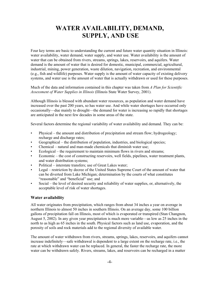## **WATER AVAILABILITY, DEMAND, SUPPLY, AND USE**

Four key terms are basic to understanding the current and future water quantity situation in Illinois: water availability, water demand, water supply, and water use. Water availability is the amount of water that can be obtained from rivers, streams, springs, lakes, reservoirs, and aquifers. Water demand is the amount of water that is desired for domestic, municipal, commercial, agricultural, industrial, mining, power generation, waste dilution, navigation, recreation, and environmental (e.g., fish and wildlife) purposes. Water supply is the amount of water capacity of existing delivery systems, and water use is the amount of water that is actually withdrawn or used for these purposes.

Much of the data and information contained in this chapter was taken from *A Plan for Scientific Assessment of Water Supplies in Illinois* (Illinois State Water Survey, 2001).

Although Illinois is blessed with abundant water resources, as population and water demand have increased over the past 200 years, so has water use. And while water shortages have occurred only occasionally—due mainly to drought—the demand for water is increasing so rapidly that shortages are anticipated in the next few decades in some areas of the state.

Several factors determine the regional variability of water availability and demand. They can be:

- Physical the amount and distribution of precipitation and stream flow; hydrogeology; recharge and discharge rates;
- Geographical the distribution of population, industries, and biological species;
- Chemical natural and man-made chemicals that diminish water use;
- Ecological the requirement to maintain minimum flows in rivers and streams;
- Economic the cost of constructing reservoirs, well fields, pipelines, water treatment plants, and water distribution systems;
- Political interstate transfers; use of Great Lakes water;
- Legal restriction by decree of the United States Supreme Court of the amount of water that can be diverted from Lake Michigan; determination by the courts of what constitutes "reasonable" and "beneficial" use; and
- Social the level of desired security and reliability of water supplies, or, alternatively, the acceptable level of risk of water shortages.

#### **Water availability**

All water originates from precipitation, which ranges from about 34 inches a year on average in northern Illinois to almost 50 inches in southern Illinois. On an average day, some 100 billion gallons of precipitation fall on Illinois, most of which is evaporated or transpired (Stan Changnon, August 5, 2002). In any given year precipitation is much more variable—as low as 25 inches in the north to as high as 65 inches in the south. Physical factors such as land use, evaporation, and the porosity of soils and rock materials add to the regional diversity of available water.

The amount of water withdrawn from rivers, streams, springs, lakes, reservoirs, and aquifers cannot increase indefinitely—safe withdrawal is dependent to a large extent on the recharge rate, i.e., the rate at which withdrawn water can be replaced. In general, the faster the recharge rate, the more water can be withdrawn safely. Rivers, streams, lakes, and reservoirs can be recharged in a matter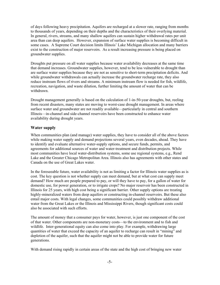of days following heavy precipitation. Aquifers are recharged at a slower rate, ranging from months to thousands of years, depending on their depths and the characteristics of their overlying material. In general, rivers, streams, and many shallow aquifers can sustain higher withdrawal rates per unit area than can deep aquifers. However, expansion of surface water supplies is becoming difficult in some cases. A Supreme Court decision limits Illinois' Lake Michigan allocation and many barriers exist to the construction of major reservoirs. As a result increasing pressure is being placed on groundwater supplies.

Droughts put pressure on all water supplies because water availability decreases at the same time that demand increases. Groundwater supplies, however, tend to be less vulnerable to drought than are surface water supplies because they are not as sensitive to short-term precipitation deficits. And while groundwater withdrawals can actually increase the groundwater recharge rate, they also reduce instream flows of rivers and streams. A minimum instream flow is needed for fish, wildlife, recreation, navigation, and waste dilution, further limiting the amount of water that can be withdrawn.

Drought management generally is based on the calculation of 1-in-50-year droughts, but, reeling from recent disasters, many states are moving to worst-case drought management. In areas where surface water and groundwater are not readily available—particularly in central and southern Illinois—in-channel and side-channel reservoirs have been constructed to enhance water availability during drought years.

#### **Water supply**

When communities plan (and manage) water supplies, they have to consider all of the above factors while making water supply and demand projections several years, even decades, ahead. They have to identify and evaluate alternative water-supply options, and secure funds, permits, and agreements for additional sources of water and water-treatment and distribution projects. While most communities have local water-distribution systems, some use regional systems, e.g., Rend Lake and the Greater Chicago Metropolitan Area. Illinois also has agreements with other states and Canada on the use of Great Lakes water.

In the foreseeable future, water availability is not as limiting a factor for Illinois water supplies as is cost. The key question is not whether supply can meet demand, but at what cost can supply meet demand? How much are people prepared to pay, or will they have to pay, for a gallon of water for domestic use, for power generation, or to irrigate crops? No major reservoir has been constructed in Illinois for 25 years, with high cost being a significant barrier. Other supply options are treating highly-mineralized waters from deep aquifers or constructing in-channel reservoirs. But these also entail major costs. With legal changes, some communities could possibly withdraw additional water from the Great Lakes or the Illinois and Mississippi Rivers, though significant costs could also be associated with such efforts.

The amount of money that a consumer pays for water, however, is just one component of the cost of that water. Other components are non-monetary costs—to the environment and to fish and wildlife. Inter-generational equity can also come into play. For example, withdrawing large quantities of water that exceed the capacity of an aquifer to recharge can result in "mining" and depletion of the aquifer, such that the aquifer might not be able to provide water for future generations.

With demand rising rapidly in certain areas of the state and the high cost of bringing new water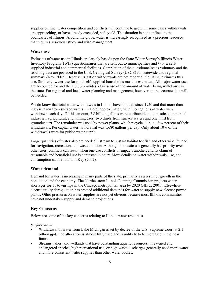supplies on line, water competition and conflicts will continue to grow. In some cases withdrawals are approaching, or have already exceeded, safe yield. The situation is not confined to the boundaries of Illinois. Around the globe, water is increasingly recognized as a precious resource that requires assiduous study and wise management.

#### **Water use**

Estimates of water use in Illinois are largely based upon the State Water Survey's Illinois Water Inventory Program (IWIP) questionnaires that are sent out to municipalities and *known* selfsupplied industrial and commercial facilities. Completion of the questionnaires is voluntary and the resulting data are provided to the U. S. Geological Survey (USGS) for statewide and regional summary (Kay, 2002). Because irrigation withdrawals are not reported, the USGS estimates this use. Similarly, water use for rural self-supplied households must be estimated. All major water uses are accounted for and the USGS provides a fair sense of the amount of water being withdrawn in the state. For regional and local water planning and management, however, more accurate data will be needed.

We do know that total water withdrawals in Illinois have doubled since 1950 and that more than 90% is taken from surface waters. In 1995, approximately 20 billion gallons of water were withdrawn each day. Of this amount, 2.8 billion gallons were attributable to domestic, commercial, industrial, agricultural, and mining uses (two thirds from surface waters and one third from groundwater). The remainder was used by power plants, which recycle all but a few percent of their withdrawals. Per capita, water withdrawal was 1,680 gallons per day. Only about 10% of the withdrawals were for public water supply.

Large quantities of water also are needed instream to sustain habitat for fish and other wildlife, and for navigation, recreation, and waste dilution. Although domestic use generally has priority over other uses, conflicts can result when one use conflicts or impacts another, and its claim of reasonable and beneficial use is contested in court. More details on water withdrawals, use, and consumption can be found in Kay (2002).

#### **Water demand**

Demand for water is increasing in many parts of the state, primarily as a result of growth in the population and the economy. The Northeastern Illinois Planning Commission projects water shortages for 11 townships in the Chicago metropolitan area by 2020 (NIPC, 2001). Elsewhere electric utility deregulation has created additional demands for water to supply new electric power plants. Other pressures on water supplies are not yet obvious because most Illinois communities have not undertaken supply and demand projections.

#### **Key Concerns**

Below are some of the key concerns relating to Illinois water resources.

*Surface water*

- Withdrawal of water from Lake Michigan is set by decree of the U.S. Supreme Court at 2.1 billion gpd. The allocation is almost fully used and is unlikely to be increased in the near future.
- Streams, lakes, and wetlands that have outstanding aquatic resources, threatened and endangered species, high recreational use, or high waste discharges generally need more water and more consistent water supplies than other water bodies.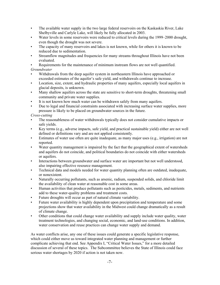- The available water supply in the two large federal reservoirs on the Kaskaskia River, Lake Shelbyville and Carlyle Lake, will likely be fully allocated in 2003.
- Water levels in some reservoirs were reduced to critical levels during the 1999–2000 drought, even though the drought was not severe.
- The capacity of many reservoirs and lakes is not known, while for others it is known to be reduced due to sedimentation.
- Streamflow magnitudes and frequencies for many streams throughout Illinois have not been evaluated.

• Requirements for the maintenance of minimum instream flows are not well quantified. *Groundwater*

- Withdrawals from the deep aquifer system in northeastern Illinois have approached or exceeded estimates of the aquifer's safe yield, and withdrawals continue to increase.
- Location, size, extent, and hydraulic properties of many aquifers, especially local aquifers in glacial deposits, is unknown.
- Many shallow aquifers across the state are sensitive to short-term droughts, threatening small community and private water supplies.
- It is not known how much water can be withdrawn safely from many aquifers.
- Due to legal and financial constraints associated with increasing surface water supplies, more pressure is likely to be placed on groundwater sources in the future.

#### *Cross-cutting*

- The reasonableness of water withdrawals typically does not consider cumulative impacts or safe yields.
- Key terms (e.g., adverse impacts, safe yield, and practical sustainable yield) either are not well defined or definitions vary and are not applied consistently.
- Estimates of water use often are quite inadequate, as many major uses (e.g., irrigation) are not reported.
- Water quantity management is impaired by the fact that the geographical extent of watersheds and aquifers do not coincide, and political boundaries do not coincide with either watersheds or aquifers.
- Interactions between groundwater and surface water are important but not well understood, also impairing effective resource management.
- Technical data and models needed for water quantity planning often are outdated, inadequate, or nonexistent.
- Naturally occurring pollutants, such as arsenic, radium, suspended solids, and chloride limit the availability of clean water at reasonable cost in some areas.
- Human activities that produce pollutants such as pesticides, metals, sediments, and nutrients add to these water-quality problems and treatment costs.
- Future droughts will occur as part of natural climate variability.
- Future water availability is highly dependent upon precipitation and temperature and some projections show that water availability in the Midwest could change dramatically as a result of climate change.
- Other conditions that could change water availability and supply include water quality, water treatment technologies, and changing social, economic, and land-use conditions. In addition, water conservation and reuse practices can change water supply and demand.

As water conflicts arise, any one of these issues could generate a specific legislative response, which could either move us toward integrated water planning and management or further complicate achieving that end. See Appendix I, "Critical Water Issues," for a more detailed discussion of several of these topics. The Subcommittee believes the State of Illinois could face serious water shortages by 2020 if action is not taken now.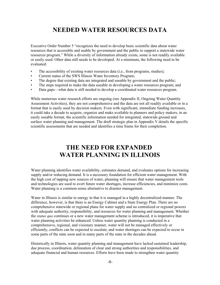## **NEEDED WATER RESOURCES DATA**

Executive Order Number 5 "recognizes the need to develop basic scientific data about water resources that is accessible and usable by government and the public to support a statewide water resources program." While a diversity of information already exists, some is not readily available or easily used. Other data still needs to be developed. At a minimum, the following need to be evaluated:

- The accessibility of existing water resources data (i.e., from programs, studies);
- Current status of the SWS Illinois Water Inventory Program;
- The degree that existing data are integrated and useable by government and the public;
- The steps required to make the data useable in developing a water resources program; and
- Data gaps—what data is still needed to develop a coordinated water resources program.

While numerous water research efforts are ongoing (see Appendix II, Ongoing Water Quantity Assessment Activities), they are not comprehensive and the data are not all readily available or in a format that is easily used by decision makers. Even with significant, immediate funding increases, it could take a decade to acquire, organize and make available to planners and policy makers, in an easily useable format, the scientific information needed for integrated, statewide ground and surface water planning and management. The draft strategic plan in Appendix V details the specific scientific assessments that are needed and identifies a time frame for their completion.

## **THE NEED FOR EXPANDED WATER PLANNING IN ILLINOIS**

Water planning identifies water availability, estimates demand, and evaluates options for increasing supply and/or reducing demand. It is a necessary foundation for efficient water management. With the high cost of tapping new sources of water, planning will ensure that water management tools and technologies are used to avert future water shortages, increase efficiencies, and minimize costs. Water planning is a common-sense alternative to disaster management.

Water in Illinois is similar to energy in that it is managed in a highly decentralized manner. The difference, however, is that there is an Energy Cabinet and a State Energy Plan. There are no comprehensive statewide or regional plans for water supply and no centralized or regional powers with adequate authority, responsibility, and resources for water planning and management. Whether the *status quo* continues or a new water management scheme is introduced, it is imperative that water planning activities be enhanced. Unless water quantity planning is conducted in a comprehensive, regional, and visionary manner, water will not be managed effectively or efficiently, conflicts can be expected to escalate, and water shortages can be expected to occur in some parts of the state soon and in many parts of the state in the decades ahead.

Historically in Illinois, water quantity planning and management have lacked sustained leadership, due process, coordination, delineation of clear and strong authorities and responsibilities, and adequate financial and human resources. Efforts have been made to strengthen water quantity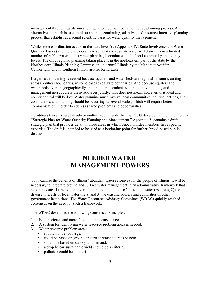management through legislation and regulation, but without an effective planning process. An alternative approach is to commit to an open, continuing, adaptive, and resource-intensive planning process that establishes a sound scientific basis for water quantity management.

While some coordination occurs at the state level (see Appendix IV, State Involvement in Water Quantity Issues) and the State does have authority to regulate water withdrawal from a limited number of public waters, most water planning is conducted at the local community and county levels. The only regional planning taking place is in the northeastern part of the state by the Northeastern Illinois Planning Commission, in central Illinois by the Mahomet Aquifer Consortium, and in southern Illinois around Rend Lake.

Larger scale planning is needed because aquifers and watersheds are regional in nature, cutting across political boundaries, in some cases even state boundaries. And because aquifers and watersheds overlap geographically and are interdependent, water quantity planning and management must address these resources jointly. This does not mean, however, that local and county control will be lost. Water planning must involve local communities, political entities, and constituents, and planning should be occurring at several scales, which will require better communication in order to address shared problems and opportunities.

To address these issues, the subcommittee recommends that the ICCG develop, with public input, a "Strategic Plan for Water Quantity Planning and Management." Appendix V contains a draft strategic plan that provides detail in those areas in which Subcommittee members have specific expertise. The draft is intended to be used as a beginning point for further, broad-based public discussion.

## **NEEDED WATER MANAGEMENT POWERS**

To maximize the benefits of Illinois' abundant water resources for the people of Illinois, it will be necessary to integrate ground and surface water management in an administrative framework that accommodates 1) the regional variation in and limitations of the state's water resources, 2) the diverse interests of local water users, and 3) the existing powers and authorities of other government institutions. The Water Resources Advisory Committee (WRAC) quickly reached consensus on the need for such a framework.

The WRAC developed the following Consensus Principles:

- 1. Better science and more funding for science is needed.
- 2. A system for identifying water resource problem areas is needed.
- 3. Water resource problem areas:
	- should not be too large,
	- could be based on ground or surface water sources or both,
	- should be based on supply and demand,
	- a drop below sustainable yield should be a criteria,
	- pollution could be a criteria.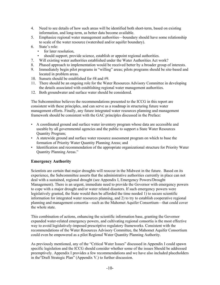- 4. Need to see details of how such areas will be identified both short-term, based on existing information, and long-term, as better data become available.
- 5. Emphasize regional water management authorities—boundary should have some relationship to scale of the water resource (watershed and/or aquifer boundary).
- 6. State's role:
	- for later resolution,
	- should support, provide science, establish or appoint regional authorities.
- 7. Will existing water authorities established under the Water Authorities Act work?
- 8. Phased approach to implementation would be received better by a broader group of interests.
- 9. Immediately begin pilot programs in "willing" areas; pilots programs should be site-based and located in problem areas.
- 10. Sunsets should be established for #8 and #9.
- 11. There should be an ongoing role for the Water Resources Advisory Committee in developing the details associated with establishing regional water management authorities.
- 12. Both groundwater and surface water should be considered.

The Subcommittee believes the recommendations presented to the ICCG in this report are consistent with these principles, and can serve as a roadmap in structuring future water management efforts. Finally, any future integrated water resources planning and management framework should be consistent with the GAC principles discussed in the Preface:

- A coordinated ground and surface water inventory program whose data are accessible and useable by all governmental agencies and the public to support a State Water Resources Quantity Program;
- A statewide ground and surface water resource assessment program on which to base the formation of Priority Water Quantity Planning Areas; and
- Identification and recommendation of the appropriate organizational structure for Priority Water Quantity Planning Areas."

#### **Emergency Authority**

Scientists are certain that major droughts will reoccur in the Midwest in the future. Based on its experience, the Subcommittee asserts that the administrative authorities currently in place can not deal with a sustained, regional drought (see Appendix I, Emergency Powers/Drought Management). There is an urgent, immediate need to provide the Governor with emergency powers to cope with a major drought and/or water related disasters. If such emergency powers were legislatively granted, the State would then be afforded the time needed 1) to secure scientific information for integrated water resources planning, and 2) to try to establish cooperative regional planning and management consortia—such as the Mahomet Aquifer Consortium—that could cover the whole state

This combination of actions, enhancing the scientific information base, granting the Governor expanded water-related emergency powers, and cultivating regional consortia is the most effective way to avoid legislatively-imposed prescriptive regulatory frameworks. Consistent with the recommendations of the Water Resources Advisory Committee, the Mahomet Aquifer Consortium could even be empowered as a pilot Regional Water Quantity Planning Authority.

As previously mentioned, any of the "Critical Water Issues" discussed in Appendix I could spawn specific legislation and the ICCG should consider whether some of the issues Should be addressed preemptively. Appendix I provides a few recommendations and we have also included placeholders in the"Draft Strategic Plan" (Appendix V.) to further discussion.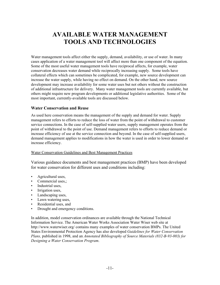## **AVAILABLE WATER MANAGEMENT TOOLS AND TECHNOLOGIES**

Water management tools affect either the supply, demand, availability, or use of water. In many cases application of a water management tool will affect more than one component of the equation. Some of the most useful water management tools have reciprocal affects, for example, water conservation decreases water demand while reciprocally increasing supply. Some tools have collateral effects which can sometimes be complicated, for example, new source development can increase the water supply, while having no effect on demand. On the other hand, new source development may increase availability for some water uses but not others without the construction of additional infrastructure for delivery. Many water management tools are currently available, but others might require new program developments or additional legislative authorities. Some of the most important, currently-available tools are discussed below.

#### **Water Conservation and Reuse**

As used here conservation means the management of the supply and demand for water. Supply management refers to efforts to reduce the loss of water from the point of withdrawal to customer service connections. In the case of self-supplied water users, supply management operates from the point of withdrawal to the point of use. Demand management refers to efforts to reduce demand or increase efficiency of use at the service connection and beyond. In the case of self-supplied users, demand management applies to modifications in how the water is used in order to lower demand or increase efficiency.

#### Water Conservation Guidelines and Best Management Practices

Various guidance documents and best management practices (BMP) have been developed for water conservation for different uses and conditions including:

- Agricultural uses,
- Commercial uses.:
- Industrial uses,
- Irrigation uses,
- Landscaping uses,
- Lawn watering uses,
- Residential uses, and
- Drought and emergency conditions.

In addition, model conservation ordinances are available through the National Technical Information Service. The American Water Works Association Water Wiser web site at http://www.waterwiser.org/ contains many examples of water conservation BMPs. The United States Environmental Protection Agency has also developed *Guidelines for Water Conservation Plans,* published in 1998, and an *Annotated Bibliography of Source Materials (832-B-93-003) for Designing a Water Conservation Program*.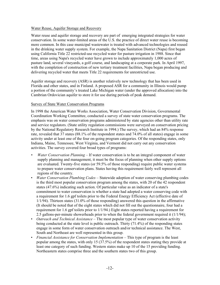#### Water Reuse, Aquifer Storage and Recovery

Water reuse and aquifer storage and recovery are part of emerging integrated strategies for water conservation. In some water-limited areas of the U.S. the practice of direct water reuse is becoming more common. In this case municipal wastewater is treated with advanced technologies and reused in the drinking water supply system. For example, the Napa Sanitation District (Napa) first began using California Title 22 restricted-use recycled water for pasture irrigation in 1988. Since that time, areas using Napa's recycled water have grown to include approximately 1,000 acres of pasture land, several vineyards, a golf course, and landscaping at a corporate park. In April 1997, with the completion of construction of new tertiary treatment facilities, Napa began producing and delivering recycled water that meets Title 22 requirements for unrestricted use.

Aquifer storage and recovery (ASR) is another relatively new technology that has been used in Florida and other states, and in Finland. A proposed ASR for a community in Illinois would pump a portion of the community's treated Lake Michigan water (under the approved allocation) into the Cambrian Ordovician aquifer to store it for use during periods of peak demand.

#### Survey of State Water Conservation Programs

In 1998 the American Water Works Association, Water Conservation Division, Governmental Coordination Working Committee, conducted a survey of state water conservation programs. The emphasis was on water conservation programs administered by state agencies other than utility rate and service regulators. (State utility regulation commissions were surveyed on conservation pricing by the National Regulatory Research Institute in 1994.) The survey, which had an 84% response rate, revealed that 37 states (88.1% of the respondent states and 74.0% of all states) engage in some activity under at least one of the four on-going program categories. Of the responding states, only Indiana, Maine, Tennessee, West Virginia, and Vermont did not carry out any conservation activities. The survey covered four broad types of programs:

- *Water Conservation Planning* If water conservation is to be an integral component of water supply planning and management, it must be the focus of planning when other supply options are evaluated. Twenty-five states (or 59.5% of those responding) require public water systems to prepare water conservation plans. States having this requirement fairly well represent all regions of the country.
- *Water Conservation Plumbing Codes*  Statewide adoption of water conserving plumbing codes is the third most popular conservation program among the states, with 20 of the 42 respondent states (47.6%) indicating such action. Of particular value as an indicator of a state's commitment to water conservation is whether a state had adopted a water conserving code with a requirement for 1.6 gpf toilets prior to the Federal Energy Efficiency Act (effective date of 1/1/94). Thirteen states (31.0% of those responding) answered this question in the affirmative (It should be noted that of the eight states which did not fill out the questionnaire, four had a requirement for 1.6 gpf toilets prior to 1/1/94.) Eight states reported having a requirement for 2.5 gallons-per-minute showerheads prior to when the federal government required it (1/1/94);
- *Outreach and Technical Assistance*  The most popular type of water conservation activity being conducted at the state level is public outreach. Thirty (71.4%) of the responding states engage in some form of water conservation outreach and/or technical assistance. The West, South and Northeast are well represented in this group.
- *Financial Assistance for Conservation Implementation* This type of program is the least popular among the states, with only 15 (37.5%) of the respondent states stating they provide at least one category of such funding. Western states make up 10 of the 15 providing funding. Northeastern states comprise three and the southern states two of this group.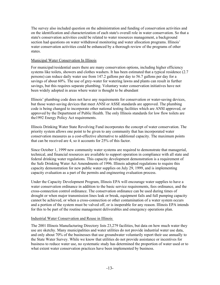The survey also included question on the administration and funding of conservation activities and on the identification and characterization of each state's overall role in water conservation. So that a state's conservation activities could be related to water resources management, a background section had questions on water withdrawal monitoring and water allocation programs. Illinois' water conservation activities could be enhanced by a thorough review of the programs of other states.

#### Municipal Water Conservation In Illinois

For municipal/residential users there are many conservation options, including higher efficiency systems like toilets, showers and clothes washers. It has been estimated that a typical residence (2.7 persons) can reduce daily water use from 147.2 gallons per day to 56.7 gallons per day for a savings of about 60%. The use of grey-water for watering lawns and plants can result in further savings, but this requires separate plumbing. Voluntary water conservation initiatives have not been widely adopted in areas where water is thought to be abundant

Illinois' plumbing code does not have any requirements for conservation or water-saving devices, but those water-saving devices that meet ANSI or ASSE standards are approved. The plumbing code is being changed to incorporate other national testing facilities which are ANSI approved, or approved by the Department of Public Health. The only Illinois standards for low flow toilets are the1992 Energy Policy Act requirements.

Illinois Drinking Water State Revolving Fund incorporates the concept of water conservation. The priority system allows one point to be given to any community that has incorporated water conservation measures as a cost-effective alternative to additional capacity. The maximum points that can be received are 4, so it accounts for 25% of this factor.

Since October 1, 1999 new community water systems are required to demonstrate that managerial, technical, and financial resources are available to support operation in compliance with all state and federal drinking water regulations. This capacity development demonstration is a requirement of the Safe Drinking Water Act Amendments of 1996. Illinois adopted regulations to require this capacity demonstration for new public water supplies on July 29, 1999, and is implementing capacity evaluation as a part of the permits and engineering evaluation process.

Under the Capacity Development Program, Illinois EPA will encourage water supplies to have a water conservation ordinance in addition to the basic service requirements, fees ordinance, and the cross-connection control ordinance. The conservation ordinance can be used during times of drought or when major transmission lines leak or break, equipment fails and full pumping capacity cannot be achieved, or when a cross-connection or other contamination of a water system occurs and a portion of the system must be valved off, or is inoperable for any reason. Illinois EPA intends for this to be part of the routine management deliverables and emergency operations plan.

#### Industrial Water Conservation and Reuse in Illinois

The 2001 Illinois Manufacturing Directory lists 23,279 facilities, but data on how much water they use are sketchy. Many municipalities and water utilities do not provide industrial water use data, and only about 70% of the businesses that use groundwater voluntarily report their use annually to the State Water Survey. While we know that utilities do not provide assistance or incentives for business to reduce water use, no systematic study has determined the proportion of water used or to what extent water conservation practices have been implemented by business.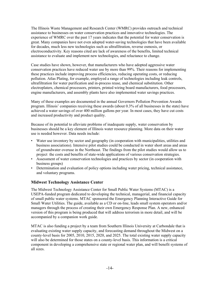The Illinois Waste Management and Research Center (WMRC) provides outreach and technical assistance to businesses on water conservation practices and innovative technologies. The experience of WMRC over the past 17 years indicates that the potential for water conservation is great. Many companies have not even adopted water-saving technologies that have been available for decades, much less new technologies such as ultrafiltration, reverse osmosis, or electroconductivity. Key reasons cited are lack of awareness of the benefits, limited technical assistance to evaluate and implement new technologies, and reluctance to change.

Case studies have shown, however, that manufacturers who have adopted aggressive water conservation practices have reduced water use by more than 99%. Their reasons for implementing these practices include improving process efficiencies, reducing operating costs, or reducing pollution. Atlas Plating, for example, employed a range of technologies including leak controls, ultrafiltration for water purification and in-process reuse, and chemical substitution. Other electroplaters, chemical processors, printers, printed wiring board manufacturers, food processors, engine manufacturers, and assembly plants have also implemented water savings practices.

Many of these examples are documented in the annual Governors Pollution Prevention Awards program. Illinois' companies receiving these awards (about 0.3% of all businesses in the state) have achieved a water savings of over 400 million gallons per year. In most cases, they have cut costs and increased productivity and product quality.

Because of its potential to alleviate problems of inadequate supply, water conservation by businesses should be a key element of Illinois water resource planning. More data on their water use is needed however. Data needs include:

- Water use inventory by sector and geography (in cooperation with municipalities, utilities and business associations). Intensive pilot studies could be conducted in water short areas and areas of groundwater overuse in the Northeast. The findings from the pilot studies would allow us to project the costs and benefits of state-wide applications of various conservation strategies.
- Assessment of water conservation technologies and practices by sector (in cooperation with business groups)
- Determination and evaluation of policy options including water pricing, technical assistance, and voluntary programs.

#### **Midwest Technology Assistance Center**

The Midwest Technology Assistance Center for Small Public Water Systems (MTAC) is a USEPA-funded program dedicated to developing the technical, managerial, and financial capacity of small public water systems. MTAC sponsored the Emergency Planning Interactive Guide for Small Water Utilities. The guide, available as a CD or on-line, leads small system operators and/or managers through the process of creating their own Emergency Response Plan. A new, enhanced version of this program is being produced that will address terrorism in more detail, and will be accompanied by a companion work guide.

MTAC is also funding a project by a team from Southern Illinois University at Carbondale that is evaluating existing water supply capacity, and forecasting demand throughout the Midwest on a county-level basis for 2005, 2010, 2015, 2020, and 2025. The total existing water supply capacity will also be determined for those states on a county-level basis. This information is a critical component in developing a comprehensive state or regional water plan, and will benefit systems of all sizes.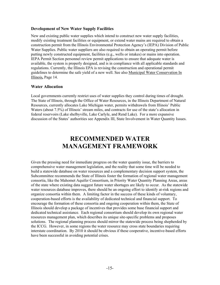#### **Development of New Water Supply Facilities**

New and existing public water supplies which intend to construct new water supply facilities, modify existing treatment facilities or equipment, or extend water mains are required to obtain a construction permit from the Illinois Environmental Protection Agency's (IEPA) Division of Public Water Supplies. Public water suppliers are also required to obtain an operating permit before putting newly constructed equipment, facilities (e.g., wells or intakes) or mains into operation. IEPA Permit Section personnel review permit applications to ensure that adequate water is available, the system is properly designed, and is in compliance with all applicable standards and regulations. Currently, the Illinois EPA is revising the construction and operational permit guidelines to determine the safe yield of a new well. See also Municipal Water Conservation In Illinois**,** Page 14.

#### **Water Allocation**

Local governments currently restrict uses of water supplies they control during times of drought. The State of Illinois, through the Office of Water Resources, in the Illinois Department of Natural Resources, currently allocates Lake Michigan water, permits withdrawels from Illinois' Public Waters (about 7.5%) of Illinois' stream miles, and contracts for use of the state's allocation in federal reservoirs (Lake shelbyville, Lake Carlyle, and Rend Lake). For a more expansive discussion of the States' authorities see Appendix III, State Involvement in Water Quantity Issues.

## **RECOMMENDED WATER MANAGEMENT FRAMEWORK**

Given the pressing need for immediate progress on the water quantity issue, the barriers to comprehensive water management legislation, and the reality that some time will be needed to build a statewide database on water resources and a complementary decision support system, the Subcommittee recommends the State of Illinois foster the formation of regional water management consortia, like the Mahomet Aquifer Consortium, in Priority Water Quantity Planning Areas, areas of the state where existing data suggest future water shortages are likely to occur. As the statewide water resources database improves, there should be an ongoing effort to identify at-risk regions and organize consortia within them. A limiting factor in the success of these kinds of voluntary, cooperation-based efforts is the availability of dedicated technical and financial support. To encourage the formation of these consortia and ongoing cooperation within them, the State of Illinois should develop a package of incentives that provides some base financial support and dedicated technical assistance. Each regional consortium should develop its own regional water resources management plan, which describes its unique site-specific problems and proposes solutions. The regional planning process should mirror the statewide process being shepherded by the ICCG. However, in some regions the water resource may cross state boundaries requiring interstate coordination. By 2010 it should be obvious if these cooperative, incentive-based efforts have been successful in avoiding potential crises.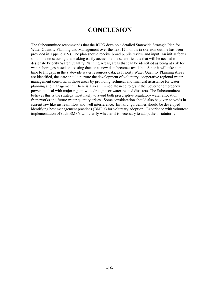## **CONCLUSION**

The Subcommittee recommends that the ICCG develop a detailed Statewide Strategic Plan for Water Quantity Planning and Management over the next 12 months (a skeleton outline has been provided in Appendix V). The plan should receive broad public review and input. An initial focus should be on securing and making easily accessible the scientific data that will be needed to designate Priority Water Quantity Planning Areas, areas that can be identified as being at risk for water shortages based on existing data or as new data becomes available. Since it will take some time to fill gaps in the statewide water resources data, as Priority Water Quantity Planning Areas are identified, the state should nurture the development of voluntary, cooperative regional water management consortia in those areas by providing technical and financial assistance for water planning and management. There is also an immediate need to grant the Governor emergency powers to deal with major region-wide droughts or water-related disasters. The Subcommittee believes this is the strategy most likely to avoid both prescriptive regulatory water allocation frameworks and future water quantity crises. Some consideration should also be given to voids in current law like instream flow and well interference. Initially, guidelines should be developed identifying best management practices (BMP's) for voluntary adoption. Experience with volunteer implementation of such BMP's will clarify whether it is necessary to adopt them statutorily.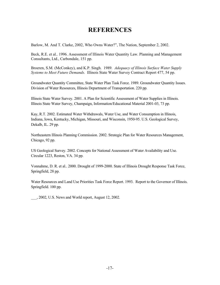## **REFERENCES**

Barlow, M. And T. Clarke, 2002, Who Owns Water?", The Nation, September 2, 2002.

Beck, R.E. et al.. 1996. Assessment of Illinois Water Quantity Law. Planning and Management Consultants, Ltd., Carbondale, 151 pp.

Broeren, S.M. (McConkey), and K.P. Singh. 1989. *Adequacy of Illinois Surface Water Supply Systems to Meet Future Demands*. Illinois State Water Survey Contract Report 477, 54 pp.

Groundwater Quantity Committee, State Water Plan Task Force. 1989. Groundwater Quantity Issues. Division of Water Resources, Illinois Department of Transportation. 220 pp.

Illinois State Water Survey. 2001. A Plan for Scientific Assessment of Water Supplies in Illinois. Illinois State Water Survey, Champaign, Information/Educational Material 2001-03, 73 pp.

Kay, R.T. 2002. Estimated Water Withdrawals, Water Use, and Water Consumption in Illinois, Indiana, Iowa, Kentucky, Michigan, Missouri, and Wisconsin, 1950-95. U.S. Geological Survey, Dekalb, IL. 29 pp.

Northeastern Illinois Planning Commission. 2002. Strategic Plan for Water Resources Management, Chicago, 92 pp.

US Geological Survey. 2002. Concepts for National Assessment of Water Availability and Use. Circular 1223, Reston, VA. 34 pp.

Vonnahme, D. R. et al.. 2000. Drought of 1999-2000. State of Illinois Drought Response Task Force, Springfield, 28 pp.

Water Resources and Land Use Priorities Task Force Report. 1993. Report to the Governor of Illinois. Springfield. 100 pp.

\_\_\_, 2002, U.S. News and World report, August 12, 2002.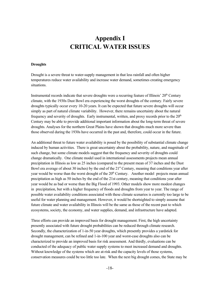## **Appendix I CRITICAL WATER ISSUES**

#### **Droughts**

Drought is a severe threat to water-supply management in that less rainfall and often higher temperatures reduce water availability and increase water demand, sometimes creating emergency situations.

Instrumental records indicate that severe droughts were a recurring feature of Illinois' 20<sup>th</sup> Century climate, with the 1930s Dust Bowl era experiencing the worst droughts of the century. Fairly severe droughts typically occur every 10-20 years. It can be expected that future severe droughts will occur simply as part of natural climate variability. However, there remains uncertainty about the natural frequency and severity of droughts. Early instrumental, written, and proxy records prior to the  $20<sup>th</sup>$ Century may be able to provide additional important information about the long-term threat of severe droughts. Analyses for the northern Great Plains have shown that droughts much more severe than those observed during the 1930s have occurred in the past and, therefore, could occur in the future.

An additional threat to future water availability is posed by the possibility of substantial climate change induced by human activities. There is great uncertainty about the probability, nature, and magnitude of such change, but some climate models suggest that the frequency and severity of droughts could change dramatically. One climate model used in international assessments projects mean annual precipitation in Illinois as low as 25 inches (compared to the present mean of 37 inches and the Dust Bowl era average of about 30 inches) by the end of the 21<sup>st</sup> Century, meaning that conditions year after year would be worse than the worst drought of the 20<sup>th</sup> Century. Another model projects mean annual precipitation as high as 50 inches by the end of the 21st century, meaning that conditions year after year would be as bad or worse than the Big Flood of 1993. Other models show more modest changes in precipitation, but with a higher frequency of floods and droughts from year to year. The range of possible water availability conditions associated with these climate scenarios is currently too large to be useful for water planning and management. However, it would be shortsighted to simply assume that future climate and water availability in Illinois will be the same as those of the recent past to which ecosystems, society, the economy, and water supplies, demand, and infrastructure have adapted.

Three efforts can provide an improved basis for drought management. First, the high uncertainty presently associated with future drought probabilities can be reduced through climate research. Secondly, the characterization of 1-in-50 year droughts, which presently provides a yardstick for drought management, can be refined and 1-in-100 year and worst-case droughts also can be characterized to provide an improved basis for risk assessment. And thirdly, evaluations can be conducted of the adequacy of public water supply systems to meet increased demand and droughts. Without knowledge of the systems which are at-risk and the capacity levels of those systems, conservation measures could be too little too late. When the next big drought comes, the State may be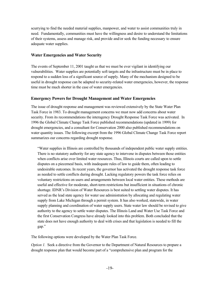scurrying to find the needed material supplies, manpower, and water to assist communities truly in need. Fundamentally, communities must have the willingness and desire to understand the limitations of their systems, assess and manage risk, and provide and/or seek the funding necessary to ensure adequate water supplies.

#### **Water Emergencies and Water Security**

The events of September 11, 2001 taught us that we must be ever vigilant in identifying our vulnerabilities. Water supplies are potentially soft targets and the infrastructure must be in place to respond to a sudden loss of a significant source of supply. Many of the mechanism designed to be useful in drought response can be adapted to security-related water emergencies, however, the response time must be much shorter in the case of water emergencies.

#### **Emergency Powers for Drought Management and Water Emergencies**

The issue of drought response and management was reviewed extensively by the State Water Plan Task Force in 1983. To drought management concerns we must now add concerns about water security. From its recommendations the interagency Drought Response Task Force was activated. In 1996 the Global Climate Change Task Force published recommendations (updated in 1999) for drought emergencies, and a consultant for Conservation 2000 also published recommendations on water quantity issues. The following excerpt from the 1996 Global Climate Change Task Force report summarizes our concerns regarding drought response.

"Water supplies in Illinois are controlled by thousands of independent public water supply entities. There is no statutory authority for any state agency to intervene in disputes between those entities when conflicts arise over limited water resources. Thus, Illinois courts are called upon to settle disputes on a piecemeal basis, with inadequate rules of law to guide them, often leading to undesirable outcomes. In recent years, the governor has activated the drought response task force as needed to settle conflicts during drought. Lacking regulatory powers the task force relies on voluntary restrictions on users and arrangements between local water entities. These methods are useful and effective for moderate, short-term restrictions but insufficient in situations of chronic shortage. IDNR's Division of Water Resources is best suited to settling water disputes. It has served as the lead state agency for water use administration by allocating and regulating water supply from Lake Michigan through a permit system. It has also worked, statewide, in water supply planning and coordination of water supply users. State water law should be revised to give authority to the agency to settle water disputes. The Illinois Land and Water Use Task Force and the first Conservation Congress have already looked into this problem. Both concluded that the state does not have enough authority to deal with crises and that legislation is needed to fill the gap."

The following options were developed by the Water Plan Task Force.

*Option 1.* Seek a directive from the Governor to the Department of Natural Resources to prepare a drought response plan that would become part of a "comprehensive plan and program for the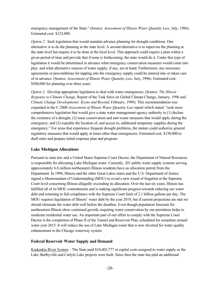emergency management of the State." (Source: *Assessment of Illinois Water Quantity Law*, July, 1996). Estimated cost: \$125,000.

*Option 2.* Seek legislation that would mandate advance planning for drought conditions. One alternative is to do the planning at the state level. A second alternative is to supervise the planning at the state level but require it to be done at the local level. This approach could require a plan within a given period of time and provide that if none is forthcoming, the state would do it. Under this type of legislation it would be determined in advance what emergency conservation measures would come into play, and what alternative sources of water supply, if any, are at hand. Furthermore, any necessary agreements or preconditions for tapping into the emergency supply could be entered into or taken care of in advance. (Source: *Assessment of Illinois Water Quantity Law*, July, 1996). Estimated cost: \$500,000 for planning over three years.

*Option 3.* Develop appropriate legislation to deal with water emergencies. (Source: *The Illinois Response to Climate Change*, Report of the Task force on Global Climate Change, January, 1996 and *Climate Change Developments: Kyoto and Beyond*, February, 1999). This recommendation was expanded in the C-2000 *Assessment of Illinois Water Quantity Law* report which stated: "seek more comprehensive legislation that would give a state water management agency authority to (1) declare the existence of a drought, (2) issue conservation and anti-waste measures that would apply during the emergency, and (3) expedite the location of, and access to, additional temporary supplies during the emergency." For areas that experience frequent drought problems, the statute could authorize general regulatory measures that would apply at times other than emergencies. Estimated cost: \$150,000 to draft rules and prepare initial response plan and program.

#### **Lake Michigan Allocations**

Pursuant to state law and a United States Supreme Court Decree, the Department of Natural Resources is responsible for allocating Lake Michigan water. Currently, 201 public water supply systems serving approximately 6.8 million northeastern Illinois residents have an allocation permit from the Department. In 1996, Illinois and the other Great Lakes states and the U.S. Department of Justice signed a Memorandum of Understanding (MOU) to avoid a new round of litigation at the Supreme Court level concerning Illinois allegedly exceeding its allocation. Over the last six years, Illinois has fulfilled all of its MOU commitments and is making significant progress towards reducing our water debt and returning to full compliance with the Supreme Court limit of 2.1 billion gallons per day. The MOU requires liquidation of Illinois' water debt by the year 2019, but if current projections are met we should eliminate the water debt well before the deadline. Even though population forecasts for northeastern Illinois show continued growth, requiring water conservation by our permittees helps to moderate residential water use. An important part of our effort to comply with the Supreme Court Decree is the completion of Phase II of the Tunnel and Reservoir Plan, scheduled for sometime around water year 2015. It will reduce the use of Lake Michigan water that is now diverted for water quality enhancement in the Chicago waterway system.

#### **Federal Reservoir Water Supply and Demand**

Kaskaskia River System – The State paid \$10,403,777 in capital costs assigned to water supply as the Lake Shelbyville and Carlyle Lake projects were built. Since then the state has paid an additional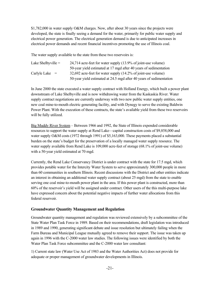\$1,782,000 in water supply O&M charges. Now, after about 30 years since the projects were developed, the state is finally seeing a demand for the water, primarily for public water supply and electrical power generation. The electrical generation demand is due to anticipated increases in electrical power demands and recent financial incentives promoting the use of Illinois coal.

The water supply available to the state from these two reservoirs is:

| Lake Shelbyville $=$ | 24,714 acre-feet for water supply (13.9% of joint-use volume)       |
|----------------------|---------------------------------------------------------------------|
|                      | 50-year yield estimated at 17 mgd after 40 years of sedimentation   |
| Carlyle Lake $=$     | 32,692 acre-feet for water supply (14.2% of joint-use volume)       |
|                      | 50-year yield estimated at 24.5 mgd after 40 years of sedimentation |

In June 2000 the state executed a water supply contract with Holland Energy, which built a power plant downstream of Lake Shelbyville and is now withdrawing water from the Kaskaskia River. Water supply contract negotiations are currently underway with two new public water supply entities, one new coal mine-to-mouth electric generating facility, and with Dynegy to serve the existing Baldwin Power Plant. With the execution of these contracts, the state's available yield from these two reservoirs will be fully utilized.

Big Muddy River System – Between 1966 and 1992, the State of Illinois expended considerable resources to support the water supply at Rend Lake—capital construction costs of \$9,858,000 and water supply O&M costs (1972 through 1991) of \$5,163,000. These payments placed a substantial burden on the state's budget for the preservation of a locally managed water supply resource. The water supply available from Rend Lake is 109,000 acre-feet of storage (68.1% of joint-use volume) with a 50-year yield estimated at 70 mgd.

Currently, the Rend Lake Conservancy District is under contract with the state for 17.5 mgd, which provides potable water for the Intercity Water System to serve approximately 300,000 people in more than 60 communities in southern Illinois. Recent discussions with the District and other entities indicate an interest in obtaining an additional water supply contract (about 25 mgd) from the state to enable serving one coal mine-to-mouth power plant in the area. If this power plant is constructed, more than 60% of the reservoir's yield will be assigned under contract. Other users of the this multi-purpose lake have expressed concern about the potential negative impacts of further water allocations from this federal reservoir.

#### **Groundwater Quantity Management and Regulation**

Groundwater quantity management and regulation was reviewed extensively by a subcommittee of the State Water Plan Task Force in 1989. Based on their recommendations, draft legislation was introduced in 1989 and 1990, generating significant debate and issue resolution but ultimately failing when the Farm Bureau and Municipal League mutually agreed to remove their support. The issue was taken up again in 1996 with the C-2000 water law studies. The following issues were identified by both the Water Plan Task Force subcommittee and the C-2000 water law consultant:

1) Current state law (Water Use Act of 1983 and the Water Authorities Act) does not provide for adequate or proper management of groundwater developments in Illinois.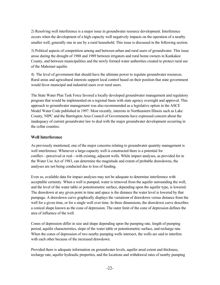2) Resolving well interference is a major issue in groundwater resource development. Interference occurs when the development of a high capacity well negatively impacts on the operation of a nearby smaller well, generally one in use by a rural household. This issue is discussed in the following section.

3) Political aspects of competition among and between urban and rural users of groundwater. This issue arose during the drought of 1988 and 1989 between irrigators and rural home owners in Kankakee County, and between municipalities and the newly formed water authorities created to protect rural use of the Mahomet aquifer.

4) The level of government that should have the ultimate power to regulate groundwater resources. Rural areas and agricultural interests support local control based on their position that state government would favor municipal and industrial users over rural users.

The State Water Plan Task Force favored a locally developed groundwater management and regulatory program that would be implemented on a regional basis with state agency oversight and approval. This approach to groundwater management was also recommended as a legislative option in the ASCE Model Water Code published in 1997. Most recently, interests in Northeastern Illinois such as Lake County, NIPC and the Barrington Area Council of Governments have expressed concern about the inadequacy of current groundwater law to deal with the major groundwater development occurring in the collar counties.

#### **Well Interference**

As previously mentioned, one of the major concerns relating to groundwater quantity management is well interference. Whenever a large-capacity well is constructed there is a potential for conflict—perceived or real—with existing, adjacent wells. While impact analyses, as provided for in the Water Use Act of 1983, can determine the magnitude and extent of probable drawdowns, the analyses are not being conducted due to loss of funding.

Even so, available data for impact analyses may not be adequate to determine interference with acceptable certainty. When a well is pumped, water is removed from the aquifer surrounding the well, and the level of the water table or potentiometric surface, depending upon the aquifer type, is lowered. The drawdown at any given point in time and space is the distance the water level is lowered by that pumpage. A drawdown curve graphically displays the variations of drawdown versus distance from the well for a given time, or for a single well over time. In three dimensions, the drawdown curve describes a conical shape known as the cone of depression. The outer limit of the cone of depression defines the area of influence of the well.

Cones of depression differ in size and shape depending upon the pumping rate, length of pumping period, aquifer characteristics, slope of the water table or potentiometric surface, and recharge rate. When the cones of depression of two nearby pumping wells intersect, the wells are said to interfere with each other because of the increased drawdown.

Provided there is adequate information on groundwater levels, aquifer areal extent and thickness, recharge rate, aquifer hydraulic properties, and the locations and withdrawal rates of nearby pumping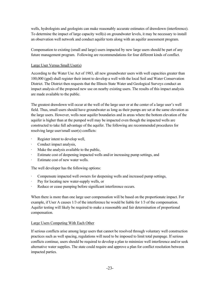wells, hydrologists and geologists can make reasonably accurate estimates of drawdown (interference). To determine the impact of large capacity well(s) on groundwater levels, it may be necessary to install an observation well network and conduct aquifer tests along with an aquifer assessment program.

Compensation to existing (small and large) users impacted by new large users should be part of any future management program. Following are recommendations for four different kinds of conflict.

#### Large User Versus Small User(s)

According to the Water Use Act of 1983, all new groundwater users with well capacities greater than 100,000 (gpd) shall register their intent to develop a well with the local Soil and Water Conservation District. The District then requests that the Illinois State Water and Geological Surveys conduct an impact analysis of the proposed new use on nearby existing users. The results of this impact analysis are made available to the public.

The greatest drawdown will occur at the well of the large user or at the center of a large user's well field. Thus, small users should have groundwater as long as their pumps are set at the same elevation as the large users. However, wells near aquifer boundaries and in areas where the bottom elevation of the aquifer is higher than at the pumped well may be impacted even though the impacted wells are constructed to take full advantage of the aquifer. The following are recommended procedures for resolving large user/small user(s) conflicts:

- Register intent to develop well,
- Conduct impact analysis,
- Make the analysis available to the public,
- Estimate cost of deepening impacted wells and/or increasing pump settings, and
- Estimate cost of new water wells.

The well developer has the following options:

- Compensate impacted well owners for deepening wells and increased pump settings,
- · Pay for locating new water-supply wells, or
- Reduce or cease pumping before significant interference occurs.

When there is more than one large user compensation will be based on the proportionate impact. For example, if User A causes 1/3 of the interference he would be liable for 1/3 of the compensation. Aquifer testing will likely be required to make a reasonable and fair determination of proportional compensation.

#### Large Users Competing With Each Other

If serious conflicts arise among large users that cannot be resolved through voluntary well construction practices such as well spacing, regulations will need to be imposed to limit total pumpage. If serious conflicts continue, users should be required to develop a plan to minimize well interference and/or seek alternative water supplies. The state could require and approve a plan for conflict resolution between impacted parties.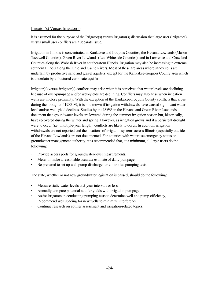#### Irrigator(s) Versus Irrigator(s)

It is assumed for the purpose of the Irrigator(s) versus Irrigator(s) discussion that large user (irrigators) versus small user conflicts are a separate issue.

Irrigation in Illinois is concentrated in Kankakee and Iroquois Counties, the Havana Lowlands (Mason-Tazewell Counties), Green River Lowlands (Lee-Whiteside Counties), and in Lawrence and Crawford Counties along the Wabash River in southeastern Illinois. Irrigation may also be increasing in extreme southern Illinois along the Ohio and Cache Rivers. Most of these are areas where sandy soils are underlain by productive sand and gravel aquifers, except for the Kankakee-Iroquois County area which is underlain by a fractured carbonate aquifer.

Irrigator(s) versus irrigator(s) conflicts may arise when it is perceived that water levels are declining because of over-pumpage and/or well-yields are declining. Conflicts may also arise when irrigation wells are in close proximity. With the exception of the Kankakee-Iroquois County conflicts that arose during the drought of 1988-89, it is not known if irrigation withdrawals have caused significant waterlevel and/or well-yield declines. Studies by the ISWS in the Havana and Green River Lowlands document that groundwater levels are lowered during the summer irrigation season but, historically, have recovered during the winter and spring. However, as irrigation grows and if a persistent drought were to occur (i.e., multiple-year length), conflicts are likely to occur. In addition, irrigation withdrawals are not reported and the locations of irrigation systems across Illinois (especially outside of the Havana Lowlands) are not documented. For counties with water use emergency status or groundwater management authority, it is recommended that, at a minimum, all large users do the following:

- · Provide access ports for groundwater-level measurements,
- Meter or make a reasonable accurate estimate of daily pumpage,
- · Be prepared to set up well pump discharge for controlled pumping tests.

The state, whether or not new groundwater legislation is passed, should do the following:

- · Measure static water levels at 5-year intervals or less,
- Annually compare potential aquifer yields with irrigation pumpage,
- Assist irrigators in conducting pumping tests to determine well and pump efficiency,
- Recommend well spacing for new wells to minimize interference.
- Continue research on aquifer assessment and irrigation-related topics.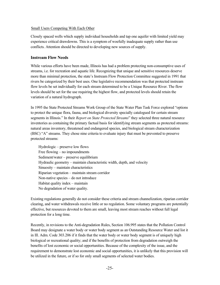#### Small Users Competing With Each Other

Closely spaced wells which supply individual households and tap one aquifer with limited yield may experience critical drawdowns. This is a symptom of woefully inadequate supply rather than use conflicts. Attention should be directed to developing new sources of supply.

#### **Instream Flow Needs**

While various efforts have been made, Illinois has had a problem protecting non-consumptive uses of streams, i.e. for recreation and aquatic life. Recognizing that unique and sensitive resources deserve more than minimal protection, the state's Instream Flow Protection Committee suggested in 1991 that rivers be categorized by their best uses. One legislative recommendation was that protected instream flow levels be set individually for each stream determined to be a Unique Resource River. The flow levels should be set for the use requiring the highest flow, and protected levels should retain the variation of a natural hydrograph.

In 1995 the State Protected Streams Work Group of the State Water Plan Task Force explored "options to protect the unique flora, fauna, and biological diversity specially catalogued for certain stream segments in Illinois." In their *Report on State Protected Streams*" they selected three natural resource inventories as containing the primary factual basis for identifying stream segments as protected streams: natural areas inventory, threatened and endangered species, and biological stream characterization (BSC) "A" streams. They chose nine criteria to evaluate injury that must be prevented to preserve protected streams:

Hydrologic – preserve low flows Free flowing – no impoundments Sediment/water – preserve equilibrium Hydraulic geometry – maintain characteristic width, depth, and velocity Sinuosity – maintain characteristics Riparian vegetation – maintain stream corridor Non-native species – do not introduce Habitat quality index – maintain No degradation of water quality.

Existing regulations generally do not consider these criteria and stream channelization, riparian corridor clearing, and water withdrawals receive little or no regulation. Some voluntary programs are potentially effective, but resources devoted to them are small, leaving most stream reaches without full legal protection for a long time.

Recently, in revisions to the Anti-degradation Rules, Section 106.995 states that the Pollution Control Board may designate a water body or water body segment as an Outstanding Resource Water and list it in Ill. Adm. Code 303.206 if it finds that the water body or water body segment is of uniquely high biological or recreational quality; and if the benefits of protection from degradation outweigh the benefits of lost economic or social opportunities. Because of the complexity of the issue, and the requirement to demonstrate lost economic and social opportunities, it is unlikely that this provision will be utilized in the future, or if so for only small segments of selected water bodies.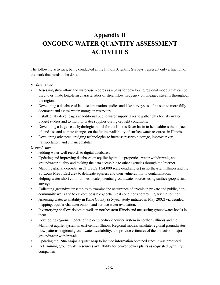## **Appendix II ONGOING WATER QUANTITY ASSESSMENT ACTIVITIES**

The following activities, being conducted at the Illinois Scientific Surveys, represent only a fraction of the work that needs to be done.

#### *Surface Water*

- Assessing streamflow and water-use records as a basis for developing regional models that can be used to estimate long-term characteristics of streamflow frequency on ungaged streams throughout the region.
- Developing a database of lake-sedimentation studies and lake surveys as a first step to more fully document and assess water storage in reservoirs.
- Installed lake-level gages at additional public water supply lakes to gather data for lake-water budget studies and to monitor water supplies during drought conditions.
- Developing a large-scale hydrologic model for the Illinois River basin to help address the impacts of land-use and climate changes on the future availability of surface water resources in Illinois.
- Developing advanced dredging technologies to increase reservoir storage, improve river transportation, and enhance habitat.

#### *Groundwater*

- Adding water-well records to digital databases.
- Updating and improving databases on aquifer hydraulic properties, water withdrawals, and groundwater quality and making the data accessible to other agencies through the Internet.
- Mapping glacial deposits (in 21 USGS 1:24,000 scale quadrangles) in northeastern Illinois and the St. Louis Metro East area to delineate aquifers and their vulnerability to contamination.
- Helping water-short communities locate potential groundwater sources using surface geophysical surveys.
- Collecting groundwater samples to examine the occurrence of arsenic in private and public, noncommunity wells and to explore possible geochemical conditions controlling arsenic solution.
- Assessing water availability in Kane County (a 5-year study initiated in May 2002) via detailed mapping, aquifer characterization, and surface water evaluation.
- Inventorying shallow dolomite wells in northeastern Illinois and measuring groundwater levels in them.
- Developing regional models of the deep bedrock aquifer system in northern Illinois and the Mahomet aquifer system in east-central Illinois. Regional models simulate regional groundwaterflow patterns, regional groundwater availability, and provide estimates of the impacts of major groundwater withdrawals.
- Updating the 1984 Major Aquifer Map to include information obtained since it was produced.
- Determining groundwater resources availability for peaker power plants as requested by utility companies.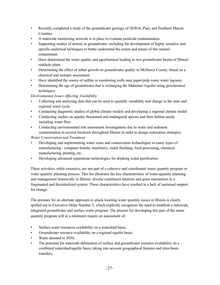- Recently completed a study of the groundwater geology of DeWitt, Piatt, and Northern Macon Counties.
- A statewide monitoring network is in place to evaluate pesticide contamination.
- Supporting studies of arsenic in groundwater, including the development of highly sensitive and specific analytical techniques to better understand the extent and nature of this natural contaminant.
- Have determined the water quality and agrichemical loading in two groundwater basins of Illinois' sinkhole plain.
- Determining the effect of urban growth on groundwater quality in McHenry County, based on a chemical and isotopic assessment
- Have identified the source of sulfate in monitoring wells near paper/pulp waste water lagoons.
- Determining the age of groundwater that is recharging the Mahomet Aquifer using geochemical techniques.

#### *Environmental Issues Affecting Availability*

- Collecting and analyzing data that can be used to quantify variability and change in the state and regional water cycle.
- Conducting diagnostic studies of global climate models and developing a regional climate model.
- Conducting studies on aquatic threatened and endangered species and their habitat needs, including water flow.
- Conducting environmental risk assessment investigations due to water and sediment contamination in several locations throughout Illinois in order to design restoration strategies.

#### *Water Conservation and Treatment*

- Developing and implementing water reuse and conservation technologies in many types of manufacturing - computer boards, machinery, metal finishing, food processing, chemical manufacturing, printing, etc.
- Developing advanced separations technologies for drinking water purification.

These activities, while extensive, are not part of a cohesive and coordinated water quantity program or water quantity planning process. This list illustrates the key characteristics of water-quantity planning and management historically in Illinois: diverse constituent interests and great momentum in a fragmented and decentralized system. These characteristics have resulted in a lack of sustained support for change.

The pressure for an alternate approach to attack looming water quantity issues in Illinois is clearly spelled out in Executive Order Number 5, which explicitly recognizes the need to establish a statewide, integrated groundwater and surface water program. The process for developing this part of the water quantity program will at a minimum require an assessment of:

- Surface water resources availability on a watershed basis;
- Groundwater resource availability on a regional aquifer basis;
- Water demand to 2050;
- The potential for statewide delineation of surface and groundwater resource availability on a combined watershed/aquifer basis, taking into account geographical features and inter-basin transfers;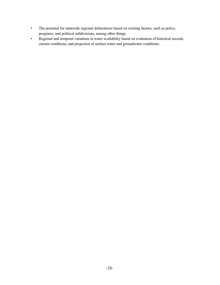- The potential for statewide regional delineations based on existing factors, such as policy, programs, and political subdivisions, among other things.
- Regional and temporal variations in water availability based on evaluation of historical records, current conditions, and projection of surface water and groundwater conditions.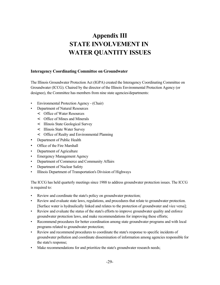## **Appendix III STATE INVOLVEMENT IN WATER QUANTITY ISSUES**

#### **Interagency Coordinating Committee on Groundwater**

The Illinois Groundwater Protection Act (IGPA) created the Interagency Coordinating Committee on Groundwater (ICCG). Chaired by the director of the Illinois Environmental Protection Agency (or designee), the Committee has members from nine state agencies/departments:

- Environmental Protection Agency (Chair)
- Department of Natural Resources
	- < Office of Water Resources
	- < Office of Mines and Minerals
	- < Illinois State Geological Survey
	- < Illinois State Water Survey
	- < Office of Realty and Environmental Planning
- Department of Public Health
- Office of the Fire Marshall
- Department of Agriculture
- **Emergency Management Agency**
- Department of Commerce and Community Affairs
- Department of Nuclear Safety
- Illinois Department of Transportation's Division of Highways

The ICCG has held quarterly meetings since 1988 to address groundwater protection issues. The ICCG is required to:

- Review and coordinate the state's policy on groundwater protection;
- Review and evaluate state laws, regulations, and procedures that relate to groundwater protection. [Surface water is hydraulically linked and relates to the protection of groundwater and vice versa];
- Review and evaluate the status of the state's efforts to improve groundwater quality and enforce groundwater protection laws, and make recommendations for improving these efforts;
- Recommend procedures for better coordination among state groundwater programs and with local programs related to groundwater protection;
- Review and recommend procedures to coordinate the state's response to specific incidents of groundwater pollution and coordinate dissemination of information among agencies responsible for the state's response;
- Make recommendations for and prioritize the state's groundwater research needs;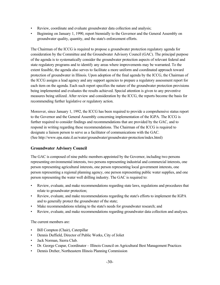- Review, coordinate and evaluate groundwater data collection and analysis;
- Beginning on January 1, 1990, report biennially to the Governor and the General Assembly on groundwater quality, quantity, and the state's enforcement efforts.

The Chairman of the ICCG is required to propose a groundwater protection regulatory agenda for consideration by the Committee and the Groundwater Advisory Council (GAC). The principal purpose of the agenda is to systematically consider the groundwater protection aspects of relevant federal and state regulatory programs and to identify any areas where improvements may be warranted. To the extent feasible, the agenda also serves to facilitate a more uniform and coordinated approach toward protection of groundwater in Illinois. Upon adoption of the final agenda by the ICCG, the Chairman of the ICCG assigns a lead agency and any support agencies to prepare a regulatory assessment report for each item on the agenda. Each such report specifies the nature of the groundwater protection provisions being implemented and evaluates the results achieved. Special attention is given to any preventive measures being utilized. After review and consideration by the ICCG, the reports become the basis for recommending further legislative or regulatory action.

Moreover, since January 1, 1992, the ICCG has been required to provide a comprehensive status report to the Governor and the General Assembly concerning implementation of the IGPA. The ICCG is further required to consider findings and recommendations that are provided by the GAC, and to respond in writing regarding these recommendations. The Chairman of the ICCG is required to designate a liaison person to serve as a facilitator of communications with the GAC. (See http://www.epa.state.il.us/water/groundwater/groundwater-protection/index.html)

#### **Groundwater Advisory Council**

The GAC is composed of nine public members appointed by the Governor, including two persons representing environmental interests, two persons representing industrial and commercial interests, one person representing agricultural interests, one person representing local government interests, one person representing a regional planning agency, one person representing public water supplies, and one person representing the water well drilling industry. The GAC is required to:

- Review, evaluate, and make recommendations regarding state laws, regulations and procedures that relate to groundwater protection;
- Review, evaluate, and make recommendations regarding the state's efforts to implement the IGPA and to generally protect the groundwater of the state;
- Make recommendations relating to the state's needs for groundwater research; and
- Review, evaluate, and make recommendations regarding groundwater data collection and analyses.

The current members are:

- Bill Compton (Chair), Caterpillar
- Dennis Duffield, Director of Public Works, City of Joliet
- Jack Norman, Sierra Club.
- Dr. George Czapar, Coordinator Illinois Council on Agricultural Best Management Practices
- Dennis Dreher, Northeastern Illinois Planning Commission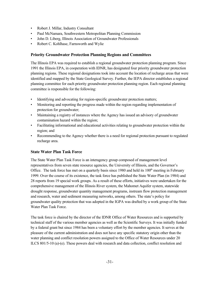- Robert J. Millar, Industry Consultant
- Paul McNamara, Southwestern Metropolitan Planning Commission
- John D. Liberg, Illinois Association of Groundwater Professionals
- Robert C. Kohlhase, Farnsworth and Wylie

#### **Priority Groundwater Protection Planning Regions and Committees**

The Illinois EPA was required to establish a regional groundwater protection planning program. Since 1991 the Illinois EPA, in cooperation with IDNR, has designated four priority groundwater protection planning regions. These regional designations took into account the location of recharge areas that were identified and mapped by the State Geological Survey. Further, the IEPA director establishes a regional planning committee for each priority groundwater protection planning region. Each regional planning committee is responsible for the following:

- Identifying and advocating for region-specific groundwater protection matters;
- Monitoring and reporting the progress made within the region regarding implementation of protection for groundwater;
- Maintaining a registry of instances where the Agency has issued an advisory of groundwater contamination hazard within the region;
- Facilitating informational and educational activities relating to groundwater protection within the region; and
- Recommending to the Agency whether there is a need for regional protection pursuant to regulated recharge area.

#### **State Water Plan Task Force**

The State Water Plan Task Force is an interagency group composed of management level representatives from seven state resource agencies, the University of Illinois, and the Governor's Office. The task force has met on a quarterly basis since 1980 and held its 100<sup>th</sup> meeting in February 1999. Over the course of its existence, the task force has published the State Water Plan (in 1984) and 28 reports from 19 special work groups. As a result of these efforts, initiatives were undertaken for the comprehensive management of the Illinois River system, the Mahomet Aquifer system, statewide drought response, groundwater quantity management programs, instream flow protection management and research, water and sediment measuring networks, among others. The state's policy for groundwater quality protection that was adopted in the IGPA was drafted by a work group of the State Water Plan Task Force.

The task force is chaired by the director of the IDNR Office of Water Resources and is supported by technical staff of the various member agencies as well as the Scientific Surveys. It was initially funded by a federal grant but since 1984 has been a voluntary effort by the member agencies. It serves at the pleasure of the current administration and does not have any specific statutory origin other than the water planning and conflict resolution powers assigned to the Office of Water Resources under 20 ILCS 801/5-10 (a)-(e). These powers deal with research and data collection, conflict resolution and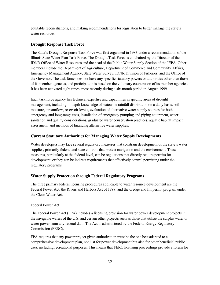equitable reconciliations, and making recommendations for legislation to better manage the state's water resources.

#### **Drought Response Task Force**

The State's Drought Response Task Force was first organized in 1983 under a recommendation of the Illinois State Water Plan Task Force. The Drought Task Force is co-chaired by the Director of the IDNR Office of Water Resources and the head of the Public Water Supply Section of the IEPA. Other members include the Department of Agriculture, Department of Commerce and Community Affairs, Emergency Management Agency, State Water Survey, IDNR Division of Fisheries, and the Office of the Governor. The task force does not have any specific statutory powers or authorities other than those of its member agencies, and participation is based on the voluntary cooperation of its member agencies. It has been activated eight times, most recently during a six-month period in August 1999.

Each task force agency has technical expertise and capabilities in specific areas of drought management, including in-depth knowledge of statewide rainfall distribution on a daily basis, soil moisture, streamflow, reservoir levels, evaluation of alternative water supply sources for both emergency and long-range uses, installation of emergency pumping and piping equipment, water sanitation and quality considerations, graduated water conservation practices, aquatic habitat impact assessment, and methods of financing alternative water supplies.

#### **Current Statutory Authorities for Managing Water Supply Developments**

Water developers may face several regulatory measures that constrain development of the state's water supplies, primarily federal and state controls that protect navigation and the environment. These measures, particularly at the federal level, can be regulations that directly require permits for development, or they can be indirect requirements that effectively control permitting under the regulatory programs.

#### **Water Supply Protection through Federal Regulatory Programs**

The three primary federal licensing procedures applicable to water resource development are the Federal Power Act, the Rivers and Harbors Act of 1899, and the dredge and fill permit program under the Clean Water Act.

#### Federal Power Act

The Federal Power Act (FPA) includes a licensing provision for water power development projects in the navigable waters of the U.S. and certain other projects such as those that utilize the surplus water or water power from any federal dam. The Act is administered by the Federal Energy Regulatory Commission (FERC).

FPA requires that any power project given authorization must be the one best adapted to a comprehensive development plan, not just for power development but also for other beneficial public uses, including recreational purposes. This means that FERC licensing proceedings provide a forum for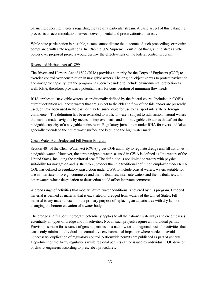balancing opposing interests regarding the use of a particular stream. A basic aspect of this balancing process is an accommodation between developmental and preservationist interests.

While state participation is possible, a state cannot dictate the outcome of such proceedings or require compliance with state regulations. In 1946 the U.S. Supreme Court ruled that granting states a veto power over proposed projects would destroy the effectiveness of the federal control program.

#### Rivers and Harbors Act of 1899

The Rivers and Harbors Act of 1899 (RHA) provides authority for the Corps of Engineers (COE) to exercise control over construction in navigable waters. The original objective was to protect navigation and navigable capacity, but the program has been expanded to include environmental protection as well. RHA, therefore, provides a potential basis for consideration of minimum flow needs.

RHA applies to "navigable waters" as traditionally defined by the federal courts. Included in COE's current definition are "those waters that are subject to the ebb and flow of the tide and/or are presently used, or have been used in the past, or may be susceptible for use to transport interstate or foreign commerce." The definition has been extended to artificial waters subject to tidal action, natural waters that can be made navigable by means of improvements, and non-navigable tributaries that affect the navigable capacity of a navigable mainstream. Regulatory jurisdiction under RHA for rivers and lakes generally extends to the entire water surface and bed up to the high water mark.

#### Clean Water Act Dredge and Fill Permit Program

Section 404 of the Clean Water Act (CWA) gives COE authority to regulate dredge and fill activities in navigable waters. However, the term navigable waters as used in CWA is defined as "the waters of the United States, including the territorial seas." The definition is not limited to waters with physical suitability for navigation and is, therefore, broader than the traditional definition employed under RHA. COE has defined its regulatory jurisdiction under CWA to include coastal waters, waters suitable for use in interstate or foreign commerce and their tributaries, interstate waters and their tributaries, and other waters whose degradation or destruction could affect interstate commerce.

A broad range of activities that modify natural water conditions is covered by this program. Dredged material is defined as material that is excavated or dredged from waters of the United States. Fill material is any material used for the primary purpose of replacing an aquatic area with dry land or changing the bottom elevation of a water body.

The dredge and fill permit program potentially applies to all the nation's waterways and encompasses essentially all types of dredge and fill activities. Not all such projects require an individual permit. Provision is made for issuance of general permits on a nationwide and regional basis for activities that cause only minimal individual and cumulative environmental impact or where needed to avoid unnecessary duplication of regulatory control. Nationwide permits are published as part of general Department of the Army regulations while regional permits can be issued by individual COE division or district engineers according to prescribed procedures.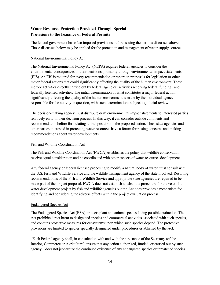#### **Water Resource Protection Provided Through Special Provisions to the Issuance of Federal Permits**

The federal government has often imposed provisions before issuing the permits discussed above. Those discussed below may be applied for the protection and management of water supply sources.

#### National Environmental Policy Act

The National Environmental Policy Act (NEPA) requires federal agencies to consider the environmental consequences of their decisions, primarily through environmental impact statements (EIS). An EIS is required for every recommendation or report on proposals for legislation or other major federal actions that could significantly affecting the quality of the human environment. These include activities directly carried out by federal agencies, activities receiving federal funding,, and federally licensed activities. The initial determination of what constitutes a major federal action significantly affecting the quality of the human environment is made by the individual agency responsible for the activity in question, with such determinations subject to judicial review.

The decision-making agency must distribute draft environmental impact statements to interested parties relatively early in their decision process. In this way, it can consider outside comments and recommendation before formulating a final position on the proposed action. Thus, state agencies and other parties interested in protecting water resources have a forum for raising concerns and making recommendations about water developments.

#### Fish and Wildlife Coordination Act

The Fish and Wildlife Coordination Act (FWCA) establishes the policy that wildlife conservation receive equal consideration and be coordinated with other aspects of water resources development.

Any federal agency or federal licensee proposing to modify a natural body of water must consult with the U.S. Fish and Wildlife Service and the wildlife management agency of the state involved. Resulting recommendations of the Fish and Wildlife Service and appropriate state agencies are required to be made part of the project proposal. FWCA does not establish an absolute procedure for the veto of a water development project by fish and wildlife agencies but the Act does provides a mechanism for identifying and considering the adverse effects within the project evaluation process.

#### Endangered Species Act

The Endangered Species Act (ESA) protects plant and animal species facing possible extinction. The Act prohibits direct harm to designated species and commercial activities associated with such species, and contains protective measures for ecosystems upon which such species depend. The protective provisions are limited to species specially designated under procedures established by the Act.

"Each Federal agency shall, in consultation with and with the assistance of the Secretary (of the Interior, Commerce or Agriculture), insure that any action authorized, funded, or carried out by such agency... does not jeopardize the continued existence of any endangered species or threatened species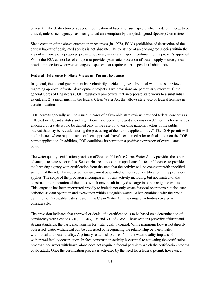or result in the destruction or adverse modification of habitat of such specie which is determined.., to be critical, unless such agency has been granted an exemption by the (Endangered Species) Committee..."

Since creation of the above exemption mechanism (in 1978), ESA's prohibition of destruction of the critical habitat of designated species is not absolute. The existence of an endangered species within the area of influence of a proposed project, however, remains a major impediment to the project's approval. While the ESA cannot be relied upon to provide systematic protection of water supply sources, it can provide protection wherever endangered species that require water-dependent habitat exist.

#### **Federal Deference to State Views on Permit Issuance**

In general, the federal government has voluntarily decided to give substantial weight to state views regarding approval of water development projects. Two provisions are particularly relevant: 1) the general Corps of Engineers (COE) regulatory procedures that incorporate state views to a substantial extent, and 2) a mechanism in the federal Clean Water Act that allows state veto of federal licenses in certain situations.

COE permits generally will be issued in cases of a favorable state review, provided federal concerns as reflected in relevant statutes and regulations have been "followed and considered." Permits for activities endorsed by a state would be denied only in the case of "overriding national factors of the public interest that may be revealed during the processing of the permit application.. . ." The COE permit will not be issued where required state or local approvals have been denied prior to final action on the COE permit application. In addition, COE conditions its permit on a positive expression of overall state consent.

The water quality certification provision of Section 401 of the Clean Water Act A provides the other advantage to state water rights. Section 401 requires certain applicants for federal licenses to provide the licensing agency with certification from the state that the activity will be consistent with specified sections of the act. The requested license cannot be granted without such certification if the provision applies. The scope of the provision encompasses ".. . any activity including, but not limited to, the construction or operation of facilities, which may result in any discharge into the navigable waters...." This language has been interpreted broadly to include not only waste disposal operations but also such activities as dam operation and excavation within navigable waters. When combined with the broad definition of 'navigable waters' used in the Clean Water Act, the range of activities covered is considerable.

The provision indicates that approval or denial of a certification is to be based on a determination of consistency with Sections 301,302, 303, 306 and 307 of CWA. These sections prescribe effluent and stream standards, the basic mechanisms for water quality control. While minimum flow is not directly addressed, water withdrawal can be addressed by recognizing the relationship between water withdrawal and water quality. A primary relationship arises from the water quality impacts of withdrawal facility construction. In fact, construction activity is essential to activating the certification process since water withdrawal alone does not require a federal permit to which the certification process could attach. Once the certification process is activated by the need for a federal permit, however, a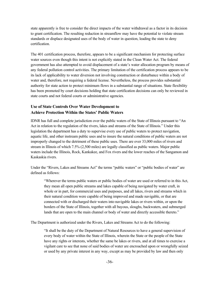state apparently is free to consider the direct impacts of the water withdrawal as a factor in its decision to grant certification. The resulting reduction in streamflow may have the potential to violate stream standards or displace designated uses of the body of water in question, leading the state to deny certification.

The 401 certification process, therefore, appears to be a significant mechanism for protecting surface water sources even though this intent is not explicitly stated in the Clean Water Act. The federal government has also attempted to avoid displacement of a state's water allocation program by means of any federal pollution control activities. The primary limitation of the certification process appears to be its lack of applicability to water diversion not involving construction or disturbance within a body of water and, therefore, not requiring a federal license. Nevertheless, the process provides substantial authority for state action to protect minimum flows in a substantial range of situations. State flexibility has been promoted by court decisions holding that state certification decisions can only be reviewed in state courts and not federal courts or administrative agencies.

#### **Use of State Controls Over Water Development to Achieve Protection Within the States' Public Waters**

IDNR has full and complete jurisdiction over the public waters of the State of Illinois pursuant to "An Act in relation to the regulation of the rivers, lakes and streams of the State of Illinois." Under this legislation the department has a duty to supervise every use of public waters to protect navigation, aquatic life, and other instream public uses and to insure the natural conditions of public waters are not improperly changed to the detriment of these public uses. There are over 33,000 miles of rivers and stream in Illinois of which 7.5% (2,500 miles) are legally classified as public waters. Major public waters include the Illinois, Rock, Kankakee, and Fox rivers and the lower reaches of the Sangamon and Kaskaskia rivers.

Under the "Rivers, Lakes and Streams Act" the terms "public waters" or "public bodies of water" are defined as follows:

"Wherever the terms public waters or public bodies of water are used or referred to in this Act, they mean all open public streams and lakes capable of being navigated by water craft, in whole or in part, for commercial uses and purposes, and all lakes, rivers and streams which in their natural condition were capable of being improved and made navigable, or that are connected with or discharged their waters into navigable lakes or rivers within, or upon the borders of the State of Illinois, together with all bayous, sloughs, backwaters, and submerged lands that are open to the main channel or body of water and directly accessible thereto."

The Department is authorized under the Rivers, Lakes and Streams Act to do the following:

"It shall be the duty of the Department of Natural Resources to have a general supervision of every body of water within the State of Illinois, wherein the State or the people of the State have any rights or interests, whether the same be lakes or rivers, and at all times to exercise a vigilant care to see that none of said bodies of water are encroached upon or wrongfully seized or used by any private interest in any way, except as may be provided by law and then only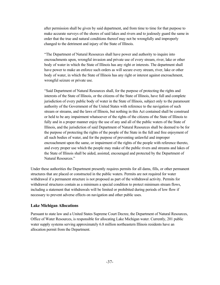after permission shall be given by said department, and from time to time for that purpose to make accurate surveys of the shores of said lakes and rivers and to jealously guard the same in order that the true and natural conditions thereof may not be wrongfully and improperly changed to the detriment and injury of the State of Illinois.

"The Department of Natural Resources shall have power and authority to inquire into encroachments upon, wrongful invasion and private use of every stream, river, lake or other body of water in which the State of Illinois has any right or interests. The department shall have power to make an enforce such orders as will secure every stream, river, lake or other body of water, in which the State of Illinois has any right or interest against encroachment, wrongful seizure or private use.

"Said Department of Natural Resources shall, for the purpose of protecting the rights and interests of the State of Illinois, or the citizens of the State of Illinois, have full and complete jurisdiction of every public body of water in the State of Illinois, subject only to the paramount authority of the Government of the United States with reference to the navigation of such stream or streams, and the laws of Illinois, but nothing in this Act contained shall be construed or held to be any impairment whatsoever of the rights of the citizens of the State of Illinois to fully and in a proper manner enjoy the use of any and all of the public waters of the State of Illinois, and the jurisdiction of said Department of Natural Resources shall be deemed to be for the purpose of protecting the rights of the people of the State in the full and free enjoyment of all such bodies of water, and for the purpose of preventing unlawful and improper encroachment upon the same, or impairment of the rights of the people with reference thereto, and every proper use which the people may make of the public rivers and streams and lakes of the State of Illinois shall be aided, assisted, encouraged and protected by the Department of Natural Resources."

Under these authorities the Department presently requires permits for all dams, fills, or other permanent structures that are placed or constructed in the public waters. Permits are not required for water withdrawal if a permanent structure is not proposed as part of the withdrawal activity. Permits for withdrawal structures contain as a minimum a special condition to protect minimum stream flows, including a statement that withdrawals will be limited or prohibited during periods of low flow if necessary to prevent adverse effects on navigation and other public uses.

#### **Lake Michigan Allocations**

Pursuant to state law and a United States Supreme Court Decree, the Department of Natural Resources, Office of Water Resources, is responsible for allocating Lake Michigan water. Currently, 201 public water supply systems serving approximately 6.8 million northeastern Illinois residents have an allocation permit from the Department.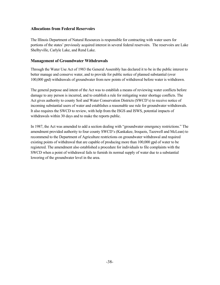#### **Allocations from Federal Reservoirs**

The Illinois Department of Natural Resources is responsible for contracting with water users for portions of the states' previously acquired interest in several federal reservoirs. The reservoirs are Lake Shelbyville, Carlyle Lake, and Rend Lake.

#### **Management of Groundwater Withdrawals**

Through the Water Use Act of 1983 the General Assembly has declared it to be in the public interest to better manage and conserve water, and to provide for public notice of planned substantial (over 100,000 gpd) withdrawals of groundwater from new points of withdrawal before water is withdrawn.

The general purpose and intent of the Act was to establish a means of reviewing water conflicts before damage to any person is incurred, and to establish a rule for mitigating water shortage conflicts. The Act gives authority to county Soil and Water Conservation Districts (SWCD's) to receive notice of incoming substantial users of water and establishes a reasonable use rule for groundwater withdrawals. It also requires the SWCD to review, with help from the ISGS and ISWS, potential impacts of withdrawals within 30 days and to make the reports public.

In 1987, the Act was amended to add a section dealing with "groundwater emergency restrictions." The amendment provided authority to four county SWCD's (Kankakee, Iroquois, Tazewell and McLean) to recommend to the Department of Agriculture restrictions on groundwater withdrawal and required existing points of withdrawal that are capable of producing more than 100,000 gpd of water to be registered. The amendment also established a procedure for individuals to file complaints with the SWCD when a point of withdrawal fails to furnish its normal supply of water due to a substantial lowering of the groundwater level in the area.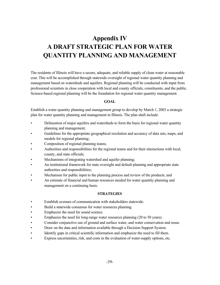## **Appendix IV A DRAFT STRATEGIC PLAN FOR WATER QUANTITY PLANNING AND MANAGEMENT**

The residents of Illinois will have a secure, adequate, and reliable supply of clean water at reasonable cost. This will be accomplished through statewide oversight of regional water quantity planning and management based on watersheds and aquifers. Regional planning will be conducted with input from professional scientists in close cooperation with local and county officials, constituents, and the public. Science-based regional planning will be the foundation for regional water quantity management.

#### **GOAL**

Establish a water quantity planning and management group to develop by March 1, 2003 a strategic plan for water quantity planning and management in Illinois. The plan shall include:

- Delineation of major aquifers and watersheds to form the basis for regional water quantity planning and management;
- Guidelines for the appropriate geographical resolution and accuracy of data sets, maps, and models for regional planning;
- Composition of regional planning teams;
- Authorities and responsibilities for the regional teams and for their interactions with local, county, and state officials;
- Mechanisms of integrating watershed and aquifer planning;
- An institutional framework for state oversight and default planning and appropriate state authorities and responsibilities;
- Mechanism for public input to the planning process and review of the products; and
- An estimate of financial and human resources needed for water quantity planning and management on a continuing basis.

#### **STRATEGIES**

- Establish avenues of communication with stakeholders statewide.
- Build a statewide consensus for water resources planning.
- Emphasize the need for sound science.
- Emphasize the need for long-range water resources planning (20 to 50 years).
- Consider conjunctive use of ground and surface water, and water conservation and reuse.
- Draw on the data and information available through a Decision Support System.
- Identify gaps in critical scientific information and emphasize the need to fill them.
- Express uncertainties, risk, and costs in the evaluation of water-supply options, etc.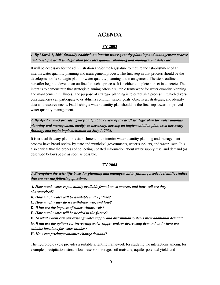### **AGENDA**

#### **FY 2003**

#### *1. By March 1, 2003 formally establish an interim water quantity planning and management process and develop a draft strategic plan for water quantity planning and management statewide.*

It will be necessary for the administration and/or the legislature to require the establishment of an interim water quantity planning and management process. The first step in that process should be the development of a strategic plan for water quantity planning and management. The steps outlined hereafter begin to develop an outline for such a process. It is neither complete nor set in concrete. The intent is to demonstrate that strategic planning offers a suitable framework for water quantity planning and management in Illinois. The purpose of strategic planning is to establish a process in which diverse constituencies can participate to establish a common vision, goals, objectives, strategies, and identify data and resource needs. Establishing a water quantity plan should be the first step toward improved water quantity management.

*2. By April 1, 2003 provide agency and public review of the draft strategic plan for water quantity planning and management, modify as necessary, develop an implementation plan, seek necessary funding, and begin implementation on July 1, 2003.*

It is critical that any plan for establishment of an interim water quantity planning and management process have broad review by state and municipal governments, water suppliers, and water users. It is also critical that the process of collecting updated information about water supply, use, and demand (as described below) begin as soon as possible.

#### **FY 2004**

*3. Strengthen the scientific basis for planning and management by funding needed scientific studies that answer the following questions:*

*A. How much water is potentially available from known sources and how well are they characterized?*

*B. How much water will be available in the future?*

*C. How much water do we withdraw, use, and lose?*

**D.** *What are the impacts of water withdrawals?*

**E.** *How much water will be needed in the future?*

**F.** *To what extent can our existing water supply and distribution systems meet additional demand?*

**G.** *What are the options for increasing water supply and /or decreasing demand and where are suitable locations for water intakes?*

**H.** *How can pricing/economics change demand?*

The hydrologic cycle provides a suitable scientific framework for studying the interactions among, for example, precipitation, streamflow, reservoir storage, soil moisture, aquifer potential yield, and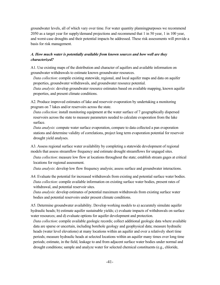groundwater levels, all of which vary over time. For water quantity planningpurposes we recommend 2050 as a target year for supply/demand projections and recommend that 1 in 50 year, 1 in 100 year, and worst-case droughts and their potential impacts be addressed. These risk assessments will provide a basis for risk management.

#### *A. How much water is potentially available from known sources and how well are they characterized?*

A1. Use existing maps of the distribution and character of aquifers and available information on groundwater withdrawals to estimate known groundwater resources.

*Data collection*: compile existing statewide, regional, and local aquifer maps and data on aquifer properties, groundwater withdrawals, and groundwater resource potential.

*Data analysis*: develop groundwater resource estimates based on available mapping, known aquifer properties, and present climate conditions.

A2. Produce improved estimates of lake and reservoir evaporation by undertaking a monitoring program on 7 lakes and/or reservoirs across the state.

*Data collection*: install monitoring equipment at the water surface of 7 geographically dispersed reservoirs across the state to measure parameters needed to calculate evaporation from the lake surface.

*Data analysis*: compute water surface evaporation, compare to data collected a pan evaporation stations and determine validity of correlations, project long term evaporation potential for reservoir drought yield analyses.

A3. Assess regional surface water availability by completing a statewide development of regional models that assess streamflow frequency and estimate drought streamflows for ungaged sites.

*Data collection*: measure low flow at locations throughout the state; establish stream gages at critical locations for regional assessment.

*Data analysis*: develop low flow frequency analysis; assess surface and groundwater interactions.

A4. Evaluate the potential for increased withdrawals from existing and potential surface water bodies. *Data collection*: compile available information on existing surface water bodies, present rates of withdrawal, and potential reservoir sites.

*Data analysis*: develop estimates of potential maximum withdrawals from existing surface water bodies and potential reservoirs under present climate conditions.

A5. Determine groundwater availability. Develop working models to a) accurately simulate aquifer hydraulic heads; b) estimate aquifer sustainable yields; c) evaluate impacts of withdrawals on surface water resources; and d) evaluate options for aquifer development and protection.

*Data collection*: compile available geologic records; collect additional geologic data where available data are sparse or uncertain, including borehole geology and geophysical data; measure hydraulic heads (water level elevations) at many locations within an aquifer and over a relatively short time periods; measure hydraulic heads at selected locations within an aquifer many times over long time periods; estimate, in the field, leakage to and from adjacent surface water bodies under normal and drought conditions; sample and analyze water for selected chemical constituents (e.g., chloride,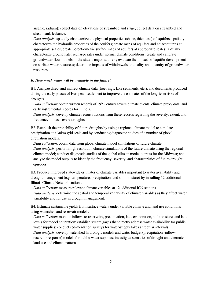arsenic, radium); collect data on elevations of streambed and stage; collect data on streambed and streambank leakance.

*Data analysis*: spatially characterize the physical properties (shape, thickness) of aquifers; spatially characterize the hydraulic properties of the aquifers; create maps of aquifers and adjacent units at appropriate scales; create potentiometric surface maps of aquifers at appropriate scales; spatially characterize groundwater recharge rates under normal climate conditions; create and calibrate groundwater flow models of the state's major aquifers; evaluate the impacts of aquifer development on surface water resources; determine impacts of withdrawals on quality and quantity of groundwater resources.

#### *B. How much water will be available in the future?*

B1. Analyze direct and indirect climate data (tree rings, lake sediments, etc.), and documents produced during the early phases of European settlement to improve the estimates of the long-term risks of droughts.

*Data collection*: obtain written records of 19<sup>th</sup> Century severe climate events, climate proxy data, and early instrumental records for Illinois.

*Data analysis*: develop climate reconstructions from these records regarding the severity, extent, and frequency of past severe droughts.

B2. Establish the probability of future droughts by using a regional climate model to simulate precipitation at a 30km grid scale and by conducting diagnostic studies of a number of global circulation models.

*Data collection*: obtain data from global climate model simulations of future climate. *Data analysis*: perform high resolution climate simulations of the future climate using the regional climate model; conduct diagnostic studies of the global climate model outputs for the Midwest; and analyze the model outputs to identify the frequency, severity, and characteristics of future drought episodes.

B3. Produce improved statewide estimates of climate variables important to water availability and drought management (e.g. temperature, precipitation, and soil moisture) by installing 12 additional Illinois Climate Network stations.

*Data collection*: measure relevant climate variables at 12 additional ICN stations.

*Data analysis*: determine the spatial and temporal variability of climate variables as they affect water variability and for use in drought management.

B4. Estimate sustainable yields from surface waters under variable climate and land use conditions using watershed and reservoir models.

*Data collection*: monitor inflows to reservoirs, precipitation, lake evaporation, soil moisture, and lake levels for model calibration; establish stream gages that directly address water availability for public water supplies; conduct sedimentation surveys for water-supply lakes at regular intervals. *Data analysis*: develop watershed hydrologic models and water budget (precipitation -inflowreservoir response) models for public water supplies; investigate scenarios of drought and alternate land use and climate patterns.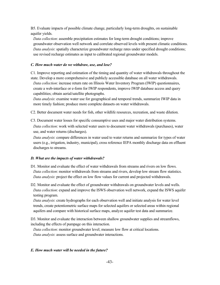B5. Evaluate impacts of possible climate change, particularly long-term droughts, on sustainable aquifer yields.

*Data collection*: assemble precipitation estimates for long-term drought conditions; improve groundwater observation well network and correlate observed levels with present climatic conditions. *Data analysis*: spatially characterize groundwater recharge rates under specified drought conditions; use revised recharge estimates as input to calibrated regional groundwater models.

#### *C. How much water do we withdraw, use, and lose?*

C1. Improve reporting and estimation of the timing and quantity of water withdrawals throughout the state. Develop a more comprehensive and publicly accessible database on all water withdrawals. *Data collection*: increase return rate on Illinois Water Inventory Program (IWIP) questionnaires, create a web-interface or e-form for IWIP respondents, improve IWIP database access and query

capabilities; obtain aerial/satellite photographs.

*Data analysis*: examine water use for geographical and temporal trends, summarize IWIP data in more timely fashion; produce more complete datasets on water withdrawals.

C2. Better document water needs for fish, other wildlife resources, recreation, and waste dilution.

C3. Document water losses for specific consumptive uses and major water distribution systems.

*Data collection*: work with selected water users to document water withdrawals (purchases), water use, and water returns (discharges).

*Data analysis*: compare differences in water used to water returns and summarize for types of water users (e.g., irrigation, industry, municipal), cross reference IEPA monthly discharge data on effluent discharges to streams.

#### *D. What are the impacts of water withdrawals?*

- D1. Monitor and evaluate the effect of water withdrawals from streams and rivers on low flows. *Data collection*: monitor withdrawals from streams and rivers, develop low stream flow statistics. *Data analysis*: project the effect on low flow values for current and projected withdrawals.
- D2. Monitor and evaluate the effect of groundwater withdrawals on groundwater levels and wells. *Data collection*: expand and improve the ISWS observation well network, expand the ISWS aquifer testing program.

*Data analysis*: create hydrographs for each observation well and initiate analysis for water level trends, create potentiometric surface maps for selected aquifers or selected areas within regional aquifers and compare with historical surface maps, analyze aquifer test data and summarize.

D3. Monitor and evaluate the interaction between shallow groundwater supplies and streamflows, including the effects of pumpage on this interaction.

*Data collection*: monitor groundwater level; measure low flow at critical locations. *Data analysis*: assess surface and groundwater interactions.

#### *E. How much water will be needed in the future?*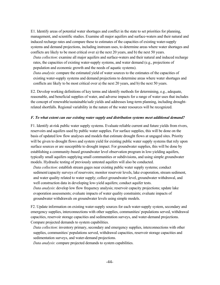E1. Identify areas of potential water shortages and conflict in the state to set priorities for planning, management, and scientific studies. Examine all major aquifers and surface-waters and their natural and induced recharge rates and compare these to estimates of the capacities of existing water-supply systems and demand projections, including instream uses, to determine areas where water shortages and conflicts are likely to be most critical over a) the next 20 years, and b) the next 50 years.

*Data collection*: examine all major aquifers and surface-waters and their natural and induced recharge rates, the capacities of existing water-supply systems, and water demand (e.g., projections of population and economic growth and the needs of aquatic systems).

*Data analysis*: compare the estimated yield of water sources to the estimates of the capacities of existing water-supply systems and demand projections to determine areas where water shortages and conflicts are likely to be most critical over a) the next 20 years, and b) the next 50 years.

E2. Develop working definitions of key terms and identify methods for determining, e.g., adequate, reasonable, and beneficial supplies of water, and adverse impacts for a range of water uses that includes the concept of renewable/sustainable/safe yields and addresses long-term planning, including droughtrelated shortfalls. Regional variability in the nature of the water resources will be recognized.

#### *F. To what extent can our existing water supply and distribution systems meet additional demand?*

F1. Identify at-risk public water supply systems. Evaluate reliable current and future yields from rivers, reservoirs and aquifers used by public water supplies. For surface supplies, this will be done on the basis of updated low flow analyses and models that estimate drought flows at ungaged sites. Priority will be given to drought flows and system yield for existing public water supply systems that rely upon surface sources or are susceptible to drought impact. For groundwater supplies, this will be done by establishing a community-based groundwater level observation program in low-yielding aquifers, typically small aquifers supplying small communities or subdivisions, and using simple groundwater models. Hydraulic testing of previously untested aquifers will also be conducted.

*Data collection*: establish stream gages near existing public water supply systems; conduct sediment/capacity surveys of reservoirs; monitor reservoir levels, lake evaporation, stream sediment, and water quality related to water supply; collect groundwater level, groundwater withdrawal, and well construction data in developing low-yield aquifers; conduct aquifer tests.

*Data analysis*: develop low flow frequency analysis; reservoir capacity projections; update lake evaporation assessments; evaluate impacts of water quality constraints; evaluate impacts of groundwater withdrawals on groundwater levels using simple models.

F2. Update information on existing water-supply sources for each water-supply system, secondary and emergency supplies, interconnections with other supplies, communities/ populations served, withdrawal capacities, reservoir storage capacities and sedimentation surveys, and water-demand projections. Compare projected demands to system capabilities.

*Data collection*: inventory primary, secondary and emergency supplies, interconnections with other supplies, communities/ populations served, withdrawal capacities, reservoir storage capacities and sedimentation surveys, and water-demand projections.

*Data analysis*: compare projected demands to system capabilities.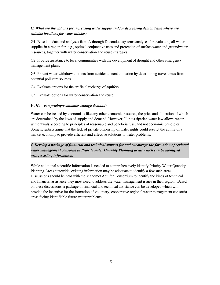#### *G. What are the options for increasing water supply and /or decreasing demand and where are suitable locations for water intakes?*

G1. Based on data and analyses from A through D, conduct systems analyses for evaluating all water supplies in a region for, e.g., optimal conjunctive uses and protection of surface water and groundwater resources, together with water conservation and reuse strategies.

G2. Provide assistance to local communities with the development of drought and other emergency management plans.

G3. Protect water withdrawal points from accidental contamination by determining travel times from potential pollutant sources.

G4. Evaluate options for the artificial recharge of aquifers.

G5. Evaluate options for water conservation and reuse.

#### **H.** *How can pricing/economics change demand?*

Water can be treated by economists like any other economic resource, the price and allocation of which are determined by the laws of supply and demand. However, Illinois riparian water law allows water withdrawals according to principles of reasonable and beneficial use, and not economic principles. Some scientists argue that the lack of private ownership of water rights could restrict the ability of a market economy to provide efficient and effective solutions to water problems.

#### *4. Develop a package of financial and technical support for and encourage the formation of regional water management consortia in Priority water Quantity Planning areas which can be identified using existing information.*

While additional scientific information is needed to comprehensively identify Priority Water Quantity Planning Areas statewide, existing information may be adequate to identify a few such areas. Discussions should be held with the Mahomet Aquifer Consortium to identify the kinds of technical and financial assistance they most need to address the water management issues in their region. Based on these discussions, a package of financial and technical assistance can be developed which will provide the incentive for the formation of voluntary, cooperative regional water management consortia areas facing identifiable future water problems.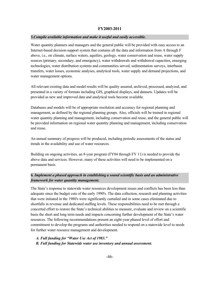#### **FY2003-2011**

#### *5.Compile available information and make it useful and easily accessible.*

Water quantity planners and managers and the general public will be provided with easy access to an Internet-based decision-support system that contains all the data and information from A through F above, i.e., on climate, surface waters, aquifers, geology, water conservation and reuse, water supply sources (primary, secondary, and emergency), water withdrawals and withdrawal capacities, emerging technologies, water distribution systems and communities served, sedimentation surveys, interbasin transfers, water losses, economic analyses, analytical tools, water supply and demand projections, and water management options.

All relevant existing data and model results will be quality assured, archived, processed, analyzed, and presented in a variety of formats including GIS, graphical displays, and datasets. Updates will be provided as new and improved data and analytical tools become available.

Databases and models will be of appropriate resolution and accuracy for regional planning and management, as defined by the regional planning groups. Also, officials will be trained in regional water quantity planning and management, including conservation and reuse, and the general public will be provided information on regional water quantity planning and management, including conservation and reuse.

An annual summary of progress will be produced, including periodic assessments of the status and trends in the availability and use of water resources.

Building on ongoing activities, an 8-year program (FY04 through FY 11) is needed to provide the above data and services. However, many of these activities will need to be implemented on a permanent basis.

#### *6. Implement a phased approach in establishing a sound scientific basis and an administrative framework for water quantity management.*

The State's response to statewide water resources development issues and conflicts has been less than adequate since the budget cuts of the early 1990's. The data collection, research and planning activities that were initiated in the 1980's were significantly curtailed and in some cases eliminated due to shortfalls in revenue and dedicated staffing levels. These responsibilities need to be met through a concerted effort to restore the State's technical abilities to measure, evaluate and review on a scientific basis the short and long term needs and impacts concerning further development of the State's water resources. The following recommendations present an eight-year phased level of effort and commitment to develop the programs and authorities needed to respond on a statewide level to needs for further water resource management and development.

*A. Full funding for "Water Use Act of 1983."*

*B. Full funding for Statewide water use inventory and annual assessment.*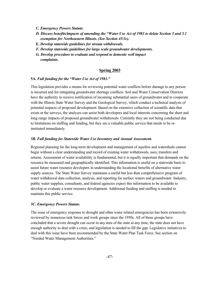- *C. Emergency Powers Statute.*
- *D. Discuss benefits/impacts of amending the "Water Use Act of 1983 to delete Section 5 and 5.1 exemption for Northeastern Illinois. (See Section 45/3c).*
- **E.** *Develop statewide guidelines for stream withdrawals.*
- *F. Develop statewide guidelines for large scale groundwater developments.*
- *G. Develop procedure to evaluate and respond to domestic well impact complaints.*

#### **Spring 2003**

#### **5A.** *Full funding for the "Water Use Act of 1983."*

This legislation provides a means for reviewing potential water conflicts before damage to any person is incurred and for mitigating groundwater shortage conflicts. Soil and Water Conservation Districts have the authority to receive notification of incoming substantial users of groundwater and to cooperate with the Illinois State Water Survey and the Geological Survey, which conduct a technical analysis of potential impacts of proposed development. Based on the extensive collection of scientific data that exists at the surveys, the analyses can assist both developers and local interests concerning the short and long range impacts of proposed groundwater withdrawals. Currently they are not being conducted due to limitations on staffing and funding, but they are a valuable public service that needs to be reinstituted immediately.

#### *5B. Full funding for Statewide Water Use Inventory and Annual Assessment.*

Regional planning for the long-term development and management of aquifers and watersheds cannot begin without a clear understanding and record of existing water withdrawals, uses, transfers and returns. Assessment of water availability is fundamental, but it is equally important that demands on the resource be measured and geographically identified. This information is useful on a statewide basis to assist future water resource developers in understanding the locational benefits of alternative water supply sources. The State Water Survey maintains a useful but less than comprehensive program of water withdrawal data collection, analysis, and reporting for surface waters and groundwater. Industry, public water supplies, consultants, and federal agencies expect this information to be available to develop or evaluate a water resource development. Additional funding and staffing is needed to maintain this public service.

#### *5C. Emergency Powers Statute.*

The issue of emergency response to drought and other water related emergencies has been extensively reviewed by numerous task forces and work groups since the 1950s. All of these groups have concluded that a severe drought can occur in any area of the state at any time, the state does not have enough authority to deal with a crisis, and legislation is needed to fill the gap. Legislative initiatives to deal with this issue have been recommended by the State Water Plan Task Force. See section on "Needed Water Management Authorities."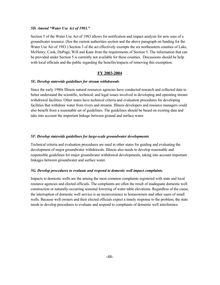#### *5D. Amend "Water Use Act of 1983."*

Section 5 of the Water Use Act of 1983 allows for notification and impact analysis for new uses of a groundwater resource. (See the current authorities section and the above paragraph on funding for the Water Use Act of 1983.) Section 3 of the act effectively exempts the six northeastern counties of Lake, McHenry, Cook, DuPage, Will and Kane from the requirements of Section 5. The information that can be provided under Section 5 is currently not available for these counties. Discussions should be help with local officials and the public regarding the benefits/impacts of removing this exemption.

#### **FY 2003-2004**

#### *5E. Develop statewide guidelines for stream withdrawals*.

Since the early 1980s Illinois natural resources agencies have conducted research and collected data to better understand the scientific, technical, and legal issues involved in developing and operating stream withdrawal facilities. Other states have technical criteria and evaluation procedures for developing facilities that withdraw water from rivers and streams. Illinois developers and resource managers could also benefit from a reasonable set of guidelines. The guidelines should be based on existing data and take into account the important linkage between ground and surface water.

#### *5F. Develop statewide guidelines for large-scale groundwater developments.*

Technical criteria and evaluation procedures are used in other states for guiding and evaluating the development of major groundwater withdrawals. Illinois also needs to develop reasonable and responsible guidelines for major groundwater withdrawal developments, taking into account important linkages between groundwater and surface water.

#### *5G. Develop procedures to evaluate and respond to domestic well impact complaints.*

Impacts to domestic wells are the among the most common complaints registered with state and local resource agencies and elected officials. The complaints are often the result of inadequate domestic well construction or naturally-occurring seasonal lowering of water table elevations. Regardless of the cause, the interruption of domestic well service is an inconvenience to homeowners and other users of small wells. Because well owners and their elected officials expect a timely response to the problem, the state needs to develop procedures to evaluate and respond to complaints of domestic well interference.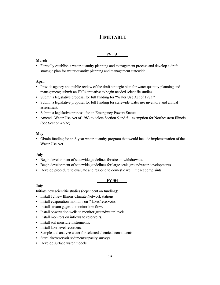### **TIMETABLE**

#### **FY '03**

#### **March**

• Formally establish a water quantity planning and management process and develop a draft strategic plan for water quantity planning and management statewide.

#### **April**

- Provide agency and public review of the draft strategic plan for water quantity planning and management; submit an FY04 initiative to begin needed scientific studies.
- Submit a legislative proposal for full funding for "Water Use Act of 1983."
- Submit a legislative proposal for full funding for statewide water use inventory and annual assessment.
- Submit a legislative proposal for an Emergency Powers Statute.
- Amend "Water Use Act of 1983 to delete Section 5 and 5.1 exemption for Northeastern Illinois. (See Section 45/3c)

#### **May**

• Obtain funding for an 8-year water quantity program that would include implementation of the Water Use Act.

#### **July**

- Begin development of statewide guidelines for stream withdrawals.
- Begin development of statewide guidelines for large scale groundwater developments.
- Develop procedure to evaluate and respond to domestic well impact complaints.

#### **FY '04**

#### **July**

Initiate new scientific studies (dependent on funding):

- Install 12 new Illinois Climate Network stations.
- Install evaporation monitors on 7 lakes/reservoirs.
- Install stream gages to monitor low flow.
- Install observation wells to monitor groundwater levels.
- Install monitors on inflows to reservoirs.
- Install soil moisture instruments.
- Install lake-level recorders.
- Sample and analyze water for selected chemical constituents.
- Start lake/reservoir sediment/capacity surveys.
- Develop surface water models.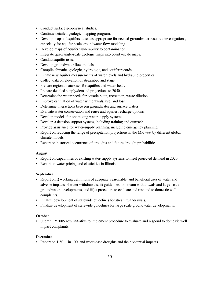- Conduct surface geophysical studies.
- Continue detailed geologic mapping program.
- Develop maps of aquifers at scales appropriate for needed groundwater resource investigations, especially for aquifer-scale groundwater flow modeling.
- Develop maps of aquifer vulnerability to contamination.
- Integrate quadrangle-scale geologic maps into county-scale maps.
- Conduct aquifer tests.
- Develop groundwater flow models.
- Compile climatic, geologic, hydrologic, and aquifer records.
- Initiate new aquifer measurements of water levels and hydraulic properties.
- Collect data on elevation of streambed and stage.
- Prepare regional databases for aquifers and watersheds.
- Prepare detailed supply/demand projections to 2050.
- Determine the water needs for aquatic biota, recreation, waste dilution.
- Improve estimation of water withdrawals, use, and loss.
- Determine interactions between groundwater and surface waters.
- Evaluate water conservation and reuse and aquifer recharge options.
- Develop models for optimizing water-supply systems.
- Develop a decision support system, including training and outreach.
- Provide assistance for water-supply planning, including emergency planning.
- Report on reducing the range of precipitation projections in the Midwest by different global climate models.
- Report on historical occurrence of droughts and future drought probabilities.

#### **August**

- Report on capabilities of existing water-supply systems to meet projected demand in 2020.
- Report on water pricing and elasticities in Illinois.

#### **September**

- Report on I) working definitions of adequate, reasonable, and beneficial uses of water and adverse impacts of water withdrawals, ii) guidelines for stream withdrawals and large-scale groundwater developments, and iii) a procedure to evaluate and respond to domestic well complaints.
- Finalize development of statewide guidelines for stream withdrawals.
- Finalize development of statewide guidelines for large scale groundwater developments.

#### **October**

• Submit FY2005 new initiative to implement procedure to evaluate and respond to domestic well impact complaints.

#### **December**

• Report on 1:50, 1 in 100, and worst-case droughts and their potential impacts.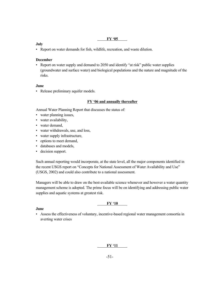#### **FY '05**

#### **July**

• Report on water demands for fish, wildlife, recreation, and waste dilution.

#### **December**

• Report on water supply and demand to 2050 and identify "at risk" public water supplies (groundwater and surface water) and biological populations and the nature and magnitude of the risks.

#### **June**

• Release preliminary aquifer models.

#### **FY '06 and annually thereafter**

Annual Water Planning Report that discusses the status of:

- water planning issues,
- water availability,
- water demand,
- water withdrawals, use, and loss,
- water supply infrastructure,
- options to meet demand,
- databases and models,
- decision support.

Such annual reporting would incorporate, at the state level, all the major components identified in the recent USGS report on "Concepts for National Assessment of Water Availability and Use" (USGS, 2002) and could also contribute to a national assessment.

Managers will be able to draw on the best-available science whenever and however a water quantity management scheme is adopted. The prime focus will be on identifying and addressing public water supplies and aquatic systems at greatest risk.

#### **FY '10**

#### **June**

• Assess the effectiveness of voluntary, incentive-based regional water management consortia in averting water crises

#### **FY '11**